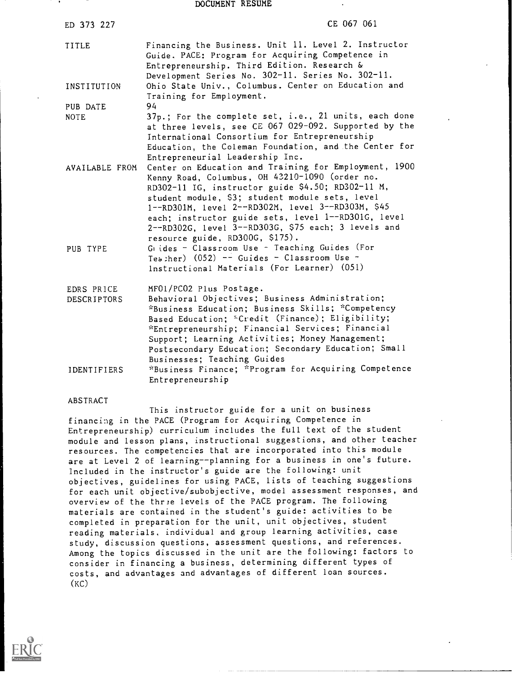#### DOCUMENT RESUME

| ED 373 227                                      | CE 067 061                                                                                                                                                                                                                                                                                                                                                                                                                               |
|-------------------------------------------------|------------------------------------------------------------------------------------------------------------------------------------------------------------------------------------------------------------------------------------------------------------------------------------------------------------------------------------------------------------------------------------------------------------------------------------------|
| <b>TITLE</b>                                    | Financing the Business. Unit 11. Level 2. Instructor<br>Guide. PACE: Program for Acquiring Competence in<br>Entrepreneurship. Third Edition. Research &<br>Development Series No. 302-11. Series No. 302-11.                                                                                                                                                                                                                             |
| INSTITUTION                                     | Ohio State Univ., Columbus. Center on Education and<br>Training for Employment.                                                                                                                                                                                                                                                                                                                                                          |
| PUB DATE                                        | 94                                                                                                                                                                                                                                                                                                                                                                                                                                       |
| <b>NOTE</b>                                     | 37p.; For the complete set, i.e., 21 units, each done<br>at three levels, see CE 067 029-092. Supported by the<br>International Consortium for Entrepreneurship<br>Education, the Coleman Foundation, and the Center for<br>Entrepreneurial Leadership Inc.                                                                                                                                                                              |
| AVAILABLE FROM                                  | Center on Education and Training for Employment, 1900<br>Kenny Road, Columbus, OH 43210-1090 (order no.<br>RD302-11 IG, instructor guide \$4.50; RD302-11 M,<br>student module, \$3; student module sets, level<br>1--RD301M, level 2--RD302M, level 3--RD303M, \$45<br>each; instructor guide sets, level 1--RD301G, level<br>2--RD302G, level 3--RD303G, \$75 each; 3 levels and<br>resource guide, RD300G, \$175).                    |
| PUB TYPE                                        | Grides - Classroom Use - Teaching Guides (For<br>Teacher) $(052)$ -- Guides - Classroom Use -<br>Instructional Materials (For Learner) (051)                                                                                                                                                                                                                                                                                             |
| EDRS PRICE<br>DESCRIPTORS<br><b>IDENTIFIERS</b> | MF01/PC02 Plus Postage.<br>Behavioral Objectives; Business Administration;<br>*Business Education; Business Skills; *Competency<br>Based Education; *Credit (Finance); Eligibility;<br>*Entrepreneurship; Financial Services; Financial<br>Support; Learning Activities; Money Management;<br>Postsecondary Education; Secondary Education; Small<br>Businesses; Teaching Guides<br>*Business Finance; *Program for Acquiring Competence |
|                                                 | Entrepreneurship                                                                                                                                                                                                                                                                                                                                                                                                                         |

#### ABSTRACT

This instructor guide for a unit on business financing in the PACE (Program for Acquiring Competence in Entrepreneurship) curriculum includes the full text of the student module and lesson plans, instructional suggestions, and other teacher resources. The competencies that are incorporated into this module are at Level 2 of learning--planning for a business in one's future. Included in the instructor's guide are the following: unit objectives, guidelines for using PACE, lists of teaching suggestions for each unit objective/subobjective, model assessment responses, and overview of the three levels of the PACE program. The following materials are contained in the student's guide: activities to be completed in preparation for the unit, unit objectives, student reading materials, individual and group learning activities, case study, discussion questions, assessment questions, and references. Among the topics discussed in the unit are the following: factors to consider in financing a business, determining different types of costs, and advantages and advantages of different loan sources.  $(KC)$ 

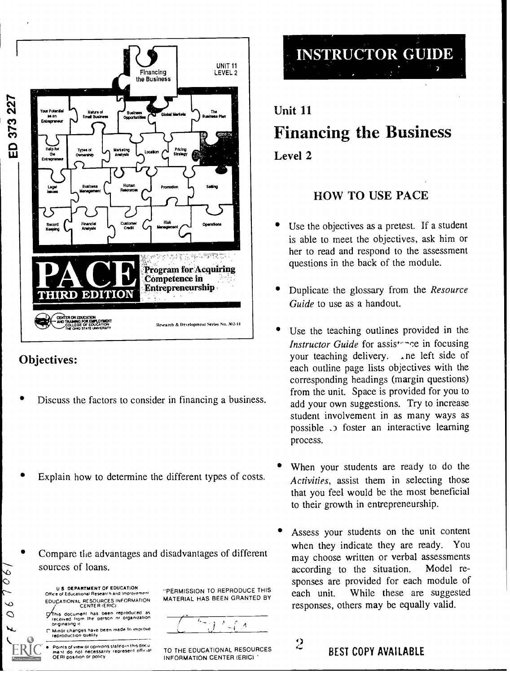

#### Objectives:

Ò Ó

 $\circ$ 

- Discuss the factors to consider in financing a business.
- Explain how to determine the different types of costs.
- Compare the advantages and disadvantages of different sources of loans.

U S DEPARTMENT OF EDUCATION Office of Educational Research and Improvement EDUCATIONAL RESOURCES INFORMATION CENTER tERICI

p/This document has been reproduced as  $$ originating it

r Minor changes have been made to improve **support of the second term**<br>eaproduction quality

Points of view or opinions Mateo in1515 docu mast do not necessarily represent ollaai OE RI position or policy

"PERMISSION TO REPRODUCE THIS each unit. MATERIAL HAS BEEN GRANTED BY

 $\Lambda$ 

TO THE EDUCATIONAL RESOURCES INFORMATION CENTER (ERIC)



# Unit 11 Financing the Business Level 2

### HOW TO USE PACE

- Use the objectives as a pretest. If a student is able to meet the objectives, ask him or her to read and respond to the assessment questions in the back of the module.
- Duplicate the glossary from the Resource Guide to use as a handout.
- Use the teaching outlines provided in the Instructor Guide for assistance in focusing your teaching delivery.  $\Box$  ne left side of each outline page lists objectives with the corresponding headings (margin questions) from the unit. Space is provided for you to add your own suggestions. Try to increase student involvement in as many ways as possible ,) foster an interactive learning process.
- When your students are ready to do the Activities, assist them in selecting those that you feel would be the most beneficial to their growth in entrepreneurship.
- Assess your students on the unit content when they indicate they are ready. You may choose written or verbal assessments according to the situation. Model responses are provided for each module of While these are suggested responses, others may be equally valid.
	- BEST COPY AVAILABLE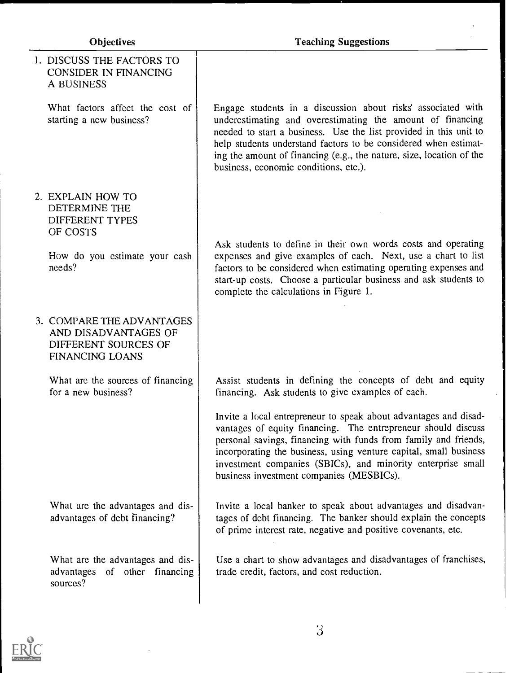| 1. DISCUSS THE FACTORS TO<br><b>CONSIDER IN FINANCING</b><br>A BUSINESS                      |                                                                                                                                                                                                                                                                                                                                                                                      |
|----------------------------------------------------------------------------------------------|--------------------------------------------------------------------------------------------------------------------------------------------------------------------------------------------------------------------------------------------------------------------------------------------------------------------------------------------------------------------------------------|
| What factors affect the cost of<br>starting a new business?                                  | Engage students in a discussion about risks' associated with<br>underestimating and overestimating the amount of financing<br>needed to start a business. Use the list provided in this unit to<br>help students understand factors to be considered when estimat-<br>ing the amount of financing (e.g., the nature, size, location of the<br>business, economic conditions, etc.).  |
| 2. EXPLAIN HOW TO<br>DETERMINE THE<br>DIFFERENT TYPES<br>OF COSTS                            | Ask students to define in their own words costs and operating                                                                                                                                                                                                                                                                                                                        |
| How do you estimate your cash<br>needs?                                                      | expenses and give examples of each. Next, use a chart to list<br>factors to be considered when estimating operating expenses and<br>start-up costs. Choose a particular business and ask students to<br>complete the calculations in Figure 1.                                                                                                                                       |
| 3. COMPARE THE ADVANTAGES<br>AND DISADVANTAGES OF<br>DIFFERENT SOURCES OF<br>FINANCING LOANS |                                                                                                                                                                                                                                                                                                                                                                                      |
| What are the sources of financing<br>for a new business?                                     | Assist students in defining the concepts of debt and equity<br>financing. Ask students to give examples of each.                                                                                                                                                                                                                                                                     |
|                                                                                              | Invite a local entrepreneur to speak about advantages and disad-<br>vantages of equity financing. The entrepreneur should discuss<br>personal savings, financing with funds from family and friends,<br>incorporating the business, using venture capital, small business<br>investment companies (SBICs), and minority enterprise small<br>business investment companies (MESBICs). |
| What are the advantages and dis-<br>advantages of debt financing?                            | Invite a local banker to speak about advantages and disadvan-<br>tages of debt financing. The banker should explain the concepts<br>of prime interest rate, negative and positive covenants, etc.                                                                                                                                                                                    |
| What are the advantages and dis-<br>advantages of other financing<br>sources?                | Use a chart to show advantages and disadvantages of franchises,<br>trade credit, factors, and cost reduction.                                                                                                                                                                                                                                                                        |
|                                                                                              |                                                                                                                                                                                                                                                                                                                                                                                      |

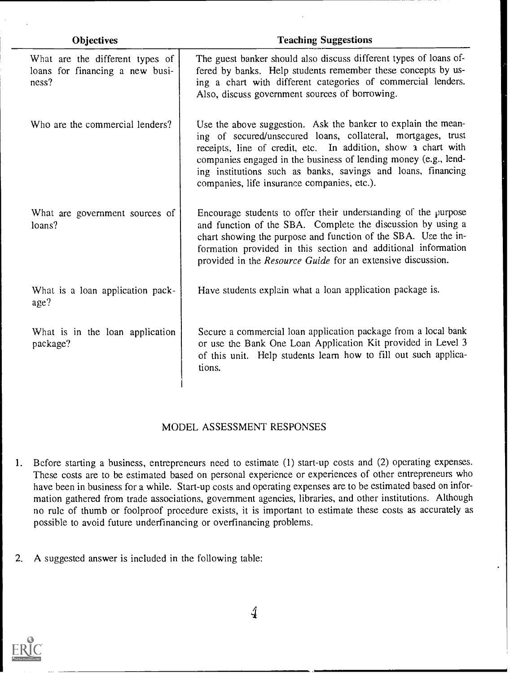| Objectives                                                                  | <b>Teaching Suggestions</b>                                                                                                                                                                                                                                                                                                                                                      |
|-----------------------------------------------------------------------------|----------------------------------------------------------------------------------------------------------------------------------------------------------------------------------------------------------------------------------------------------------------------------------------------------------------------------------------------------------------------------------|
| What are the different types of<br>loans for financing a new busi-<br>ness? | The guest banker should also discuss different types of loans of-<br>fered by banks. Help students remember these concepts by us-<br>ing a chart with different categories of commercial lenders.<br>Also, discuss government sources of borrowing.                                                                                                                              |
| Who are the commercial lenders?                                             | Use the above suggestion. Ask the banker to explain the mean-<br>ing of secured/unsecured loans, collateral, mortgages, trust<br>receipts, line of credit, etc. In addition, show a chart with<br>companies engaged in the business of lending money (e.g., lend-<br>ing institutions such as banks, savings and loans, financing<br>companies, life insurance companies, etc.). |
| What are government sources of<br>loans?                                    | Encourage students to offer their understanding of the purpose<br>and function of the SBA. Complete the discussion by using a<br>chart showing the purpose and function of the SBA. Use the in-<br>formation provided in this section and additional information<br>provided in the Resource Guide for an extensive discussion.                                                  |
| What is a loan application pack-<br>age?                                    | Have students explain what a loan application package is.                                                                                                                                                                                                                                                                                                                        |
| What is in the loan application<br>package?                                 | Secure a commercial loan application package from a local bank<br>or use the Bank One Loan Application Kit provided in Level 3<br>of this unit. Help students learn how to fill out such applica-<br>tions.                                                                                                                                                                      |

#### MODEL ASSESSMENT RESPONSES

- 1. Before starting a business, entrepreneurs need to estimate (1) start-up costs and (2) operating expenses. These costs are to be estimated based on personal experience or experiences of other entrepreneurs who have been in business for a while. Start-up costs and operating expenses are to be estimated based on information gathered from trade associations, government agencies, libraries, and other institutions. Although no rule of thumb or foolproof procedure exists, it is important to estimate these costs as accurately as possible to avoid future underfinancing or overfinancing problems.
- 2. A suggested answer is included in the following table:

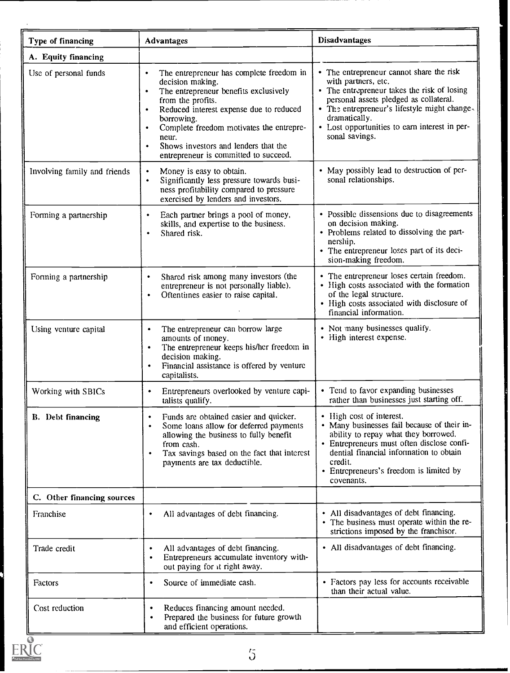| Type of financing            | <b>Advantages</b>                                                                                                                                                                                                                                                                                                                                        | <b>Disadvantages</b>                                                                                                                                                                                                                                                                         |
|------------------------------|----------------------------------------------------------------------------------------------------------------------------------------------------------------------------------------------------------------------------------------------------------------------------------------------------------------------------------------------------------|----------------------------------------------------------------------------------------------------------------------------------------------------------------------------------------------------------------------------------------------------------------------------------------------|
| A. Equity financing          |                                                                                                                                                                                                                                                                                                                                                          |                                                                                                                                                                                                                                                                                              |
| Use of personal funds        | The entrepreneur has complete freedom in<br>٠<br>decision making.<br>The entrepreneur benefits exclusively<br>from the profits.<br>Reduced interest expense due to reduced<br>$\bullet$<br>borrowing.<br>Complete freedom motivates the entrepre-<br>neur.<br>Shows investors and lenders that the<br>$\bullet$<br>entrepreneur is committed to succeed. | • The entrepreneur cannot share the risk<br>with partners, etc.<br>• The entrepreneur takes the risk of losing<br>personal assets pledged as collateral.<br>• The entrepreneur's lifestyle might change.<br>dramatically.<br>• Lost opportunities to earn interest in per-<br>sonal savings. |
| Involving family and friends | Money is easy to obtain.<br>$\bullet$<br>Significantly less pressure towards busi-<br>$\bullet$<br>ness profitability compared to pressure<br>exercised by lenders and investors.                                                                                                                                                                        | • May possibly lead to destruction of per-<br>sonal relationships.                                                                                                                                                                                                                           |
| Forming a partnership        | Each partner brings a pool of money,<br>$\bullet$<br>skills, and expertise to the business.<br>Shared risk.<br>$\bullet$                                                                                                                                                                                                                                 | • Possible dissensions due to disagreements<br>on decision making.<br>• Problems related to dissolving the part-<br>nership.<br>• The entrepreneur loses part of its deci-<br>sion-making freedom.                                                                                           |
| Forming a partnership        | Shared risk among many investors (the<br>$\bullet$<br>entrepreneur is not personally liable).<br>Oftentines easier to raise capital.<br>$\bullet$                                                                                                                                                                                                        | • The entrepreneur loses certain freedom.<br>• High costs associated with the formation<br>of the legal structure.<br>• High costs associated with disclosure of<br>financial information.                                                                                                   |
| Using venture capital        | The entrepreneur can borrow large<br>$\bullet$<br>amounts of money.<br>The entrepreneur keeps his/her freedom in<br>$\bullet$<br>decision making.<br>Financial assistance is offered by venture<br>$\bullet$<br>capitalists.                                                                                                                             | • Not many businesses qualify.<br>• High interest expense.                                                                                                                                                                                                                                   |
| Working with SBICs           | Entrepreneurs overlooked by venture capi-<br>talists qualify.                                                                                                                                                                                                                                                                                            | • Tend to favor expanding businesses<br>rather than businesses just starting off.                                                                                                                                                                                                            |
| <b>B.</b> Debt financing     | Funds are obtained easier and quicker.<br>Some loans allow for deferred payments<br>allowing the business to fully benefit<br>from cash.<br>Tax savings based on the fact that interest<br>payments are tax deductible.                                                                                                                                  | • High cost of interest.<br>• Many businesses fail because of their in-<br>ability to repay what they borrowed.<br>• Entrepreneurs must often disclose confi-<br>dential financial information to obtain<br>credit.<br>• Entrepreneurs's freedom is limited by<br>covenants.                 |
| C. Other financing sources   |                                                                                                                                                                                                                                                                                                                                                          |                                                                                                                                                                                                                                                                                              |
| <b>Franchise</b>             | All advantages of debt financing.<br>$\bullet$                                                                                                                                                                                                                                                                                                           | • All disadvantages of debt financing.<br>• The business must operate within the re-<br>strictions imposed by the franchisor.                                                                                                                                                                |
| Trade credit                 | All advantages of debt financing.<br>٠<br>Entrepreneurs accumulate inventory with-<br>out paying for it right away.                                                                                                                                                                                                                                      | • All disadvantages of debt financing.                                                                                                                                                                                                                                                       |
| Factors                      | Source of immediate cash.                                                                                                                                                                                                                                                                                                                                | • Factors pay less for accounts receivable<br>than their actual value.                                                                                                                                                                                                                       |
| Cost reduction               | Reduces financing amount needed.<br>Prepared the business for future growth<br>and efficient operations.                                                                                                                                                                                                                                                 |                                                                                                                                                                                                                                                                                              |



 $\overline{5}$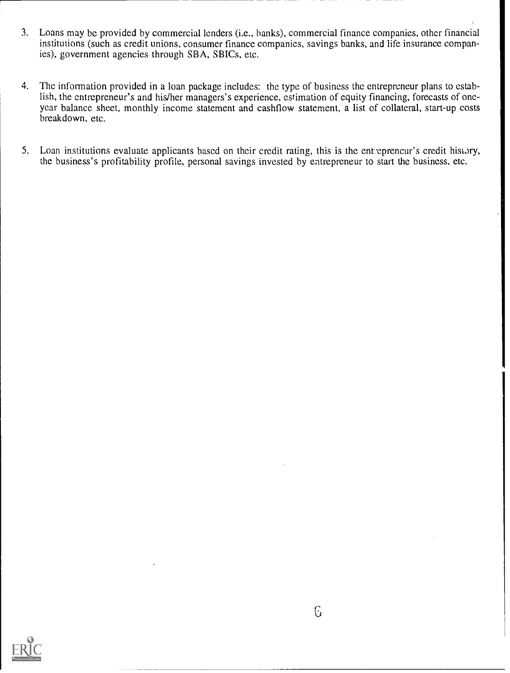- 3. Loans may be provided by commercial lenders (i.e., banks), commercial finance companies, other financial institutions (such as credit unions, consumer finance companies, savings banks, and life insurance companies), government agencies through SBA, SBICs, etc.
- 4. The information provided in a loan package includes: the type of business the entrepreneur plans to establish, the entrepreneur's and his/her managers's experience, estimation of equity financing, forecasts of oneyear balance sheet, monthly income statement and cashflow statement, a list of collateral, start-up costs breakdown, etc.
- 5. Loan institutions evaluate applicants based on their credit rating, this is the ent-epreneur's credit history, the business's profitability profile, personal savings invested by entrepreneur to start the business, etc.

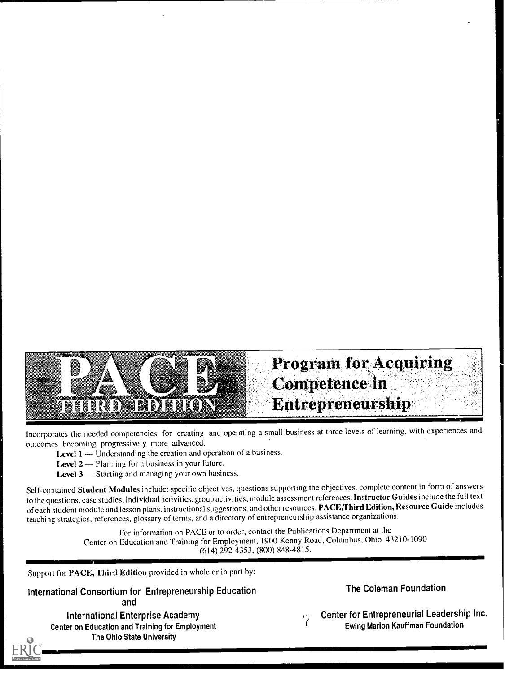

**Program for Acquiring** Competence in Entrepreneurship

Incorporates the needed competencies for creating and operating a small business at three levels of learning, with experiences and outcomes becoming progressively more advanced.

- Level 1 Understanding the creation and operation of a business.
- Level  $2$  Planning for a business in your future.
- Level  $3$  Starting and managing your own business.

Self-contained Student Modules include: specific objectives, questions supporting the objectives, complete content in form of answers to the questions, case studies, individual activities, group activities, module assessment references. Instructor Guides include the full text of each student module and lesson plans, instructional suggestions, and other resources. PACE,Third Edition, Resource Guide includes teaching strategies, references, glossary of terms, and a directory of entrepreneurship assistance organizations.

> For information on PACE or to order, contact the Publications Department at the For information on PACE of to order, contact the Fundations Expansion at the Center on Education and Training for Employment, 1900 Kenny Road, Columbus, Ohio 43210-1090 (614) 292-4353, (800) 848-4815.

Support for PACE, Third Edition provided in whole or in part by:

International Consortium for Entrepreneurship Education and

International Enterprise Academy Center on Education and Training for Employment The Ohio State University

The Coleman Foundation

Center for Entrepreneurial Leadership Inc. Ewing Marion Kauffman Foundation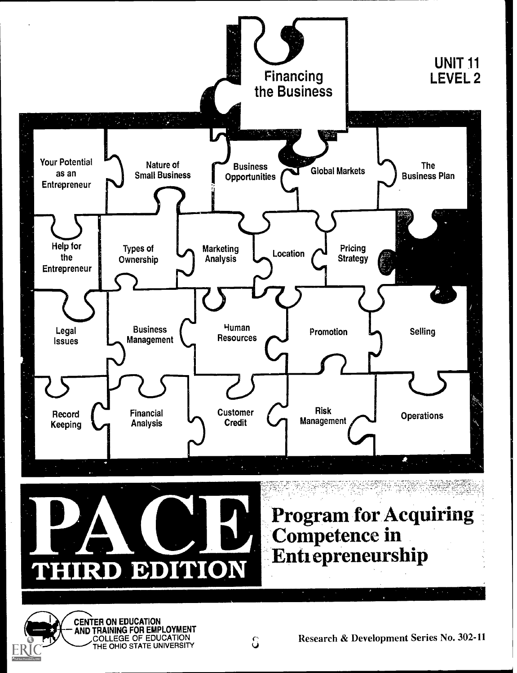

 $\Omega$ 

COLLEGE OF EDUCATION THE OHIO STATE UNIVERSITY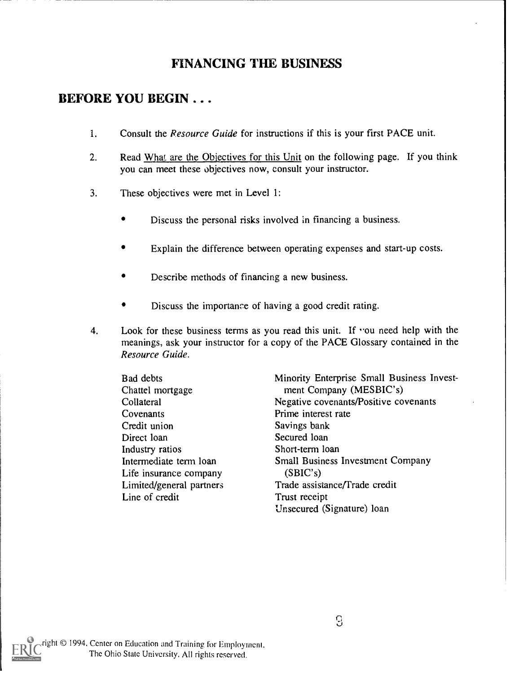#### FINANCING THE BUSINESS

#### BEFORE YOU BEGIN . . .

- 1. Consult the *Resource Guide* for instructions if this is your first PACE unit.
- 2. Read What are the Objectives for this Unit on the following page. If you think you can meet these objectives now, consult your instructor.
- 3. These objectives were met in Level 1:
	- Discuss the personal risks involved in financing a business.
	- Explain the difference between operating expenses and start-up costs.
	- Describe methods of financing a new business.
	- Discuss the importance of having a good credit rating.
- 4. Look for these business terms as you read this unit. If "ou need help with the meanings, ask your instructor for a copy of the PACE Glossary contained in the Resource Guide.

Covenants Prime interest rate Credit union Savings bank Direct loan Secured loan Industry ratios Short-term loan Life insurance company (SBIC's) Line of credit Trust receipt

Bad debts Minority Enterprise Small Business Invest-Chattel mortgage ment Company (MESBIC's) Collateral Negative covenants/Positive covenants Intermediate term loan Small Business Investment Company Limited/general partners Trade assistance/Trade credit Unsecured (Signature) loan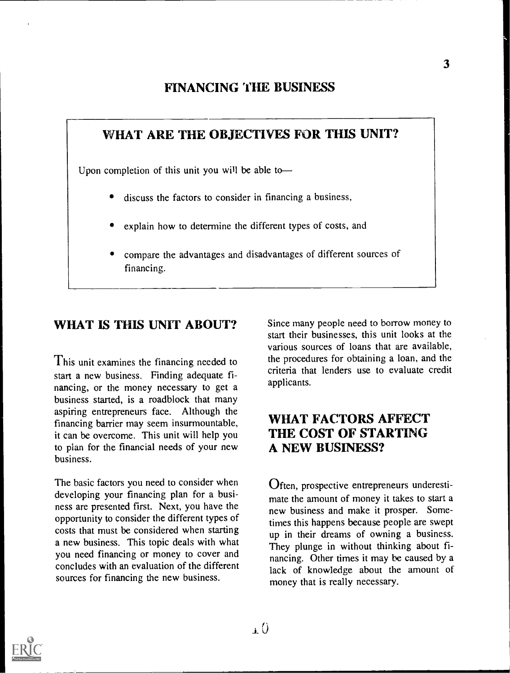#### FINANCING THE BUSINESS

#### WHAT ARE THE OBJECTIVES FOR THIS UNIT?

Upon completion of this unit you will be able to

- discuss the factors to consider in financing a business,
- explain how to determine the different types of costs, and
- compare the advantages and disadvantages of different sources of financing.

#### WHAT IS THIS UNIT ABOUT?

This unit examines the financing needed to start a new business. Finding adequate financing, or the money necessary to get a business started, is a roadblock that many aspiring entrepreneurs face. Although the financing barrier may seem insurmountable, it can be overcome. This unit will help you to plan for the financial needs of your new business.

The basic factors you need to consider when developing your financing plan for a business are presented first. Next, you have the opportunity to consider the different types of costs that must be considered when starting a new business. This topic deals with what you need financing or money to cover and concludes with an evaluation of the different sources for financing the new business.

Since many people need to borrow money to start their businesses, this unit looks at the various sources of loans that are available, the procedures for obtaining a loan, and the criteria that lenders use to evaluate credit applicants.

#### WHAT FACTORS AFFECT THE COST OF STARTING A NEW BUSINESS?

Often, prospective entrepreneurs underestimate the amount of money it takes to start a new business and make it prosper. Sometimes this happens because people are swept up in their dreams of owning a business. They plunge in without thinking about financing. Other times it may be caused by a lack of knowledge about the amount of money that is really necessary.

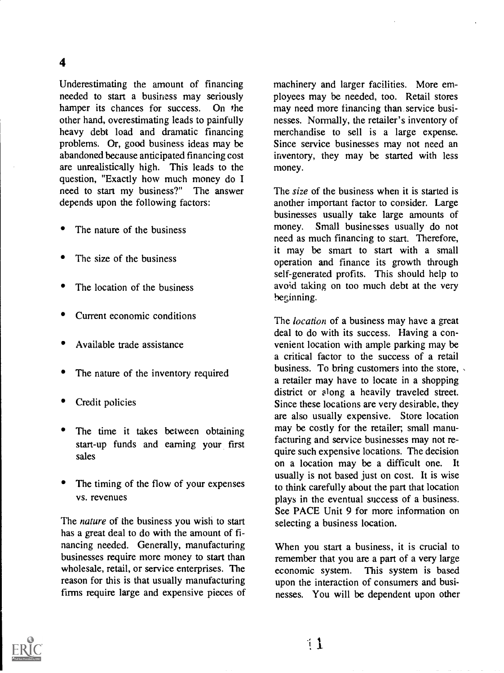Underestimating the amount of financing needed to start a business may seriously hamper its chances for success. On the other hand, overestimating leads to painfully heavy debt load and dramatic financing problems. Or, good business ideas may be abandoned because anticipated financing cost are unrealistically high. This leads to the question, "Exactly how much money do I need to start my business?" The answer depends upon the following factors:

- The nature of the business
- The size of the business
- The location of the business
- Current economic conditions
- Available trade assistance
- The nature of the inventory required
- Credit policies
- The time it takes between obtaining start-up funds and earning your first sales
- The timing of the flow of your expenses vs. revenues

The *nature* of the business you wish to start has a great deal to do with the amount of financing needed. Generally, manufacturing businesses require more money to start than wholesale, retail, or service enterprises. The economic system. reason for this is that usually manufacturing firms require large and expensive pieces of

machinery and larger facilities. More employees may be needed, too. Retail stores may need more financing than service businesses. Normally, the retailer's inventory of merchandise to sell is a large expense. Since service businesses may not need an inventory, they may be started with less money.

The size of the business when it is started is another important factor to consider. Large businesses usually take large amounts of money. Small businesses usually do not need as much financing to start. Therefore, it may be smart to start with a small operation and finance its growth through self-generated profits. This should help to avoid taking on too much debt at the very beginning.

The *location* of a business may have a great deal to do with its success. Having a convenient location with ample parking may be a critical factor to the success of a retail business. To bring customers into the store, a retailer may have to locate in a shopping district or along a heavily traveled street. Since these locations are very desirable, they are also usually expensive. Store location may be costly for the retailer, small manufacturing and service businesses may not require such expensive locations. The decision on a location may be a difficult one. It usually is not based just on cost. It is wise to think carefully about the part that location plays in the eventual success of a business. See PACE Unit 9 for more information on selecting a business location.

When you start a business, it is crucial to remember that you are a part of a very large This system is based upon the interaction of consumers and businesses. You will be dependent upon other

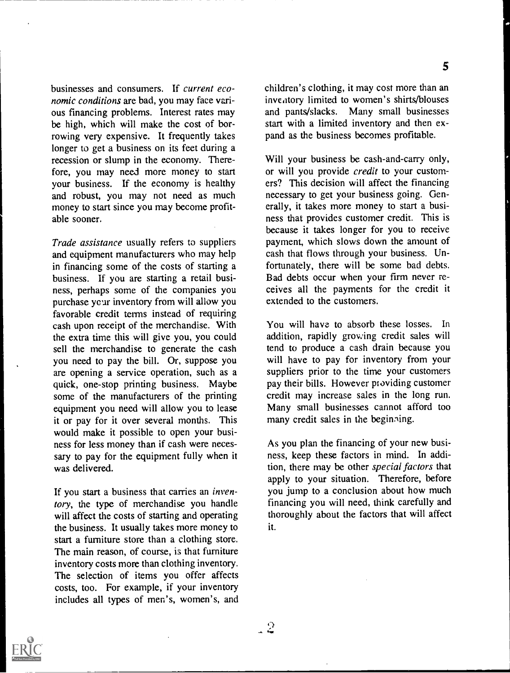businesses and consumers. If current economic conditions are bad, you may face various financing problems. Interest rates may be high, which will make the cost of borrowing very expensive. It frequently takes longer to get a business on its feet during a recession or slump in the economy. Therefore, you may need more money to start your business. If the economy is healthy and robust, you may not need as much money to start since you may become profitable sooner.

Trade assistance usually refers to suppliers and equipment manufacturers who may help in financing some of the costs of starting a business. If you are starting a retail business, perhaps some of the companies you purchase year inventory from will allow you favorable credit terms instead of requiring cash upon receipt of the merchandise. With the extra time this will give you, you could sell the merchandise to generate the cash you need to pay the bill. Or, suppose you are opening a service operation, such as a quick, one-stop printing business. Maybe some of the manufacturers of the printing equipment you need will allow you to lease it or pay for it over several months. This would make it possible to open your business for less money than if cash were necessary to pay for the equipment fully when it was delivered.

If you start a business that carries an inventory, the type of merchandise you handle will affect the costs of starting and operating the business. It usually takes more money to start a furniture store than a clothing store. The main reason, of course, is that furniture inventory costs more than clothing inventory. The selection of items you offer affects costs, too. For example, if your inventory includes all types of men's, women's, and children's clothing, it may cost more than an inventory limited to women's shirts/blouses and pants/slacks. Many small businesses start with a limited inventory and then expand as the business becomes profitable.

Will your business be cash-and-carry only, or will you provide credit to your customers? This decision will affect the financing necessary to get your business going. Generally, it takes more money to start a business that provides customer credit. This is because it takes longer for you to receive payment, which slows down the amount of cash that flows through your business. Unfortunately, there will be some bad debts. Bad debts occur when your firm never receives all the payments for the credit it extended to the customers.

You will have to absorb these losses. In addition, rapidly growing credit sales will tend to produce a cash drain because you will have to pay for inventory from your suppliers prior to the time your customers pay their bills. However providing customer credit may increase sales in the long run. Many small businesses cannot afford too many credit sales in the beginning.

As you plan the financing of your new business, keep these factors in mind. In addition, there may be other special factors that apply to your situation. Therefore, before you jump to a conclusion about how much financing you will need, think carefully and thoroughly about the factors that will affect it.



 $\mathcal{D}$ 

5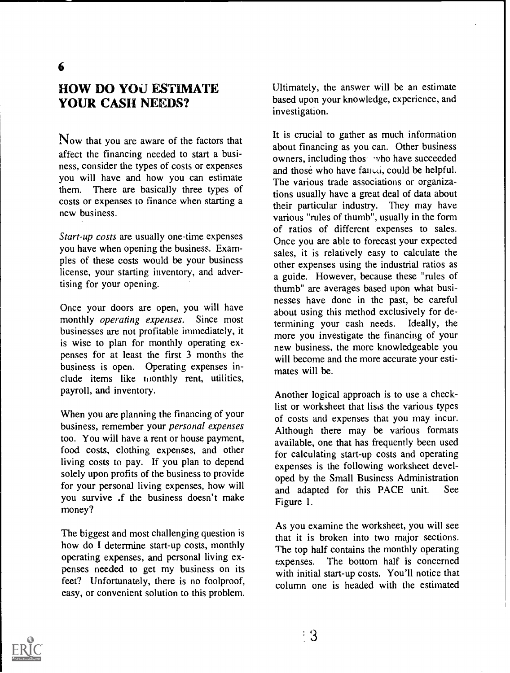## HOW DO Y0i1 ESTIMATE YOUR CASH NEEDS?

Now that you are aware of the factors that affect the financing needed to start a business, consider the types of costs or expenses you will have and how you can estimate them. There are basically three types of costs or expenses to finance when starting a new business.

Start-up costs are usually one-time expenses you have when opening the business. Examples of these costs would be your business license, your starting inventory, and advertising for your opening.

Once your doors are open, you will have monthly operating expenses. Since most businesses are not profitable immediately, it is wise to plan for monthly operating expenses for at least the first 3 months the business is open. Operating expenses include items like monthly rent, utilities, payroll, and inventory.

When you are planning the financing of your business, remember your personal expenses too. You will have a rent or house payment, food costs, clothing expenses, and other living costs to pay. If you plan to depend solely upon profits of the business to provide for your personal living expenses, how will you survive f the business doesn't make money?

The biggest and most challenging question is how do I determine start-up costs, monthly operating expenses, and personal living experating expenses, and personal fiving  $\epsilon x$ - $\epsilon x$  penses.<br>penses needed to get my business on its  $\epsilon x$  with initial feet? Unfortunately, there is no foolproof, easy, or convenient solution to this problem.

Ultimately, the answer will be an estimate based upon your knowledge, experience, and investigation.

It is crucial to gather as much information about financing as you can. Other business owners, including thos vho have succeeded and those who have fancil, could be helpful. The various trade associations or organizations usually have a great deal of data about their particular industry. They may have various "rules of thumb", usually in the form of ratios of different expenses to sales. Once you are able to forecast your expected sales, it is relatively easy to calculate the other expenses using the industrial ratios as a guide. However, because these "rules of thumb" are averages based upon what businesses have done in the past, be careful about using this method exclusively for determining your cash needs. Ideally, the more you investigate the financing of your new business, the more knowledgeable you will become and the more accurate your estimates will be.

Another logical approach is to use a checklist or worksheet that lists the various types of costs and expenses that you may incur. Although there may be various formats available, one that has frequently been used for calculating start-up costs and operating expenses is the following worksheet developed by the Small Business Administration and adapted for this PACE unit. See Figure 1.

As you examine the worksheet, you will see that it is broken into two major sections. The top half contains the monthly operating The bottom half is concerned with initial start-up costs. You'll notice that column one is headed with the estimated

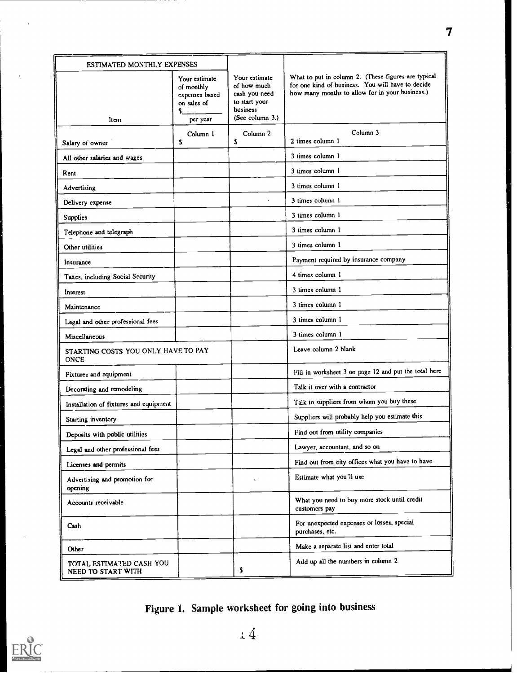| ESTIMATED MONTHLY EXPENSES                         |                                                                                |                                                                                               |                                                                                                                                                             |
|----------------------------------------------------|--------------------------------------------------------------------------------|-----------------------------------------------------------------------------------------------|-------------------------------------------------------------------------------------------------------------------------------------------------------------|
| Item                                               | Your estimate<br>of monthly<br>expenses based<br>on sales of<br>\$<br>per year | Your estimate<br>of how much<br>cash you need<br>to start your<br>business<br>(See column 3.) | What to put in column 2. (These figures are typical<br>for one kind of business. You will have to decide<br>how many months to allow for in your business.) |
| Salary of owner                                    | Column 1<br>s                                                                  | Column <sub>2</sub><br>S                                                                      | Column <sub>3</sub><br>2 times column 1                                                                                                                     |
| All other salaries and wages                       |                                                                                |                                                                                               | 3 times column 1                                                                                                                                            |
| Rent                                               |                                                                                |                                                                                               | 3 times column 1                                                                                                                                            |
| Advertising                                        |                                                                                |                                                                                               | 3 times column 1                                                                                                                                            |
| Delivery expense                                   |                                                                                |                                                                                               | 3 times column 1                                                                                                                                            |
| <b>Supplies</b>                                    |                                                                                |                                                                                               | 3 times column 1                                                                                                                                            |
| Telephone and telegraph                            |                                                                                |                                                                                               | 3 times column 1                                                                                                                                            |
| Other utilities                                    |                                                                                |                                                                                               | 3 times column 1                                                                                                                                            |
| Insurance                                          |                                                                                |                                                                                               | Payment required by insurance company                                                                                                                       |
| Taxes, including Social Security                   |                                                                                |                                                                                               | 4 times column 1                                                                                                                                            |
| Interest                                           |                                                                                |                                                                                               | 3 times column 1                                                                                                                                            |
| Maintenance                                        |                                                                                |                                                                                               | 3 times column 1                                                                                                                                            |
| Legal and other professional fees                  |                                                                                |                                                                                               | 3 times column 1                                                                                                                                            |
| Miscellaneous                                      |                                                                                |                                                                                               | 3 times column 1                                                                                                                                            |
| STARTING COSTS YOU ONLY HAVE TO PAY<br><b>ONCE</b> |                                                                                |                                                                                               | Leave column 2 blank                                                                                                                                        |
| Fixtures and equipment                             |                                                                                |                                                                                               | Fill in worksheet 3 on page 12 and put the total here                                                                                                       |
| Decorating and remodeling                          |                                                                                |                                                                                               | Talk it over with a contractor                                                                                                                              |
| Installation of fixtures and equipment             |                                                                                |                                                                                               | Talk to suppliers from whom you buy these                                                                                                                   |
| Starting inventory                                 |                                                                                |                                                                                               | Suppliers will probably help you estimate this                                                                                                              |
| Deposits with public utilities                     |                                                                                |                                                                                               | Find out from utility companies                                                                                                                             |
| Legal and other professional fees                  |                                                                                |                                                                                               | Lawyer, accountant, and so on                                                                                                                               |
| Licenses and permits                               |                                                                                |                                                                                               | Find out from city offices what you have to have                                                                                                            |
| Advertising and promotion for<br>opening           |                                                                                |                                                                                               | Estimate what you'll use                                                                                                                                    |
| Accounts receivable                                |                                                                                |                                                                                               | What you need to buy more stock until credit<br>customers pay                                                                                               |
| Cash                                               |                                                                                |                                                                                               | For unexpected expenses or losses, special<br>purchases, etc.                                                                                               |
| Other                                              |                                                                                |                                                                                               | Make a separate list and enter total                                                                                                                        |
| TOTAL ESTIMATED CASH YOU<br>NEED TO START WITH     |                                                                                | S                                                                                             | Add up all the numbers in column 2                                                                                                                          |

## Figure 1. Sample worksheet for going into business



4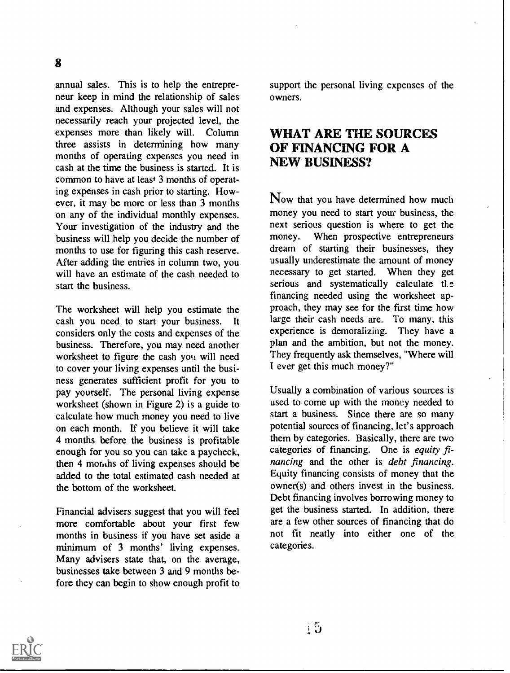annual sales. This is to help the entrepreneur keep in mind the relationship of sales and expenses. Although your sales will not necessarily reach your projected level, the expenses more than likely will. Column three assists in determining how many months of operating expenses you need in cash at the time the business is started. It is common to have at least 3 months of operating expenses in cash prior to starting. However, it may be more or less than 3 months on any of the individual monthly expenses. Your investigation of the industry and the next set<br>business will help you decide the number of money. business will help you decide the number of months to use for figuring this cash reserve. After adding the entries in column two, you will have an estimate of the cash needed to start the business.

The worksheet will help you estimate the cash you need to start your business. It considers only the costs and expenses of the business. Therefore, you may need another worksheet to figure the cash you will need to cover your living expenses until the business generates sufficient profit for you to pay yourself. The personal living expense worksheet (shown in Figure 2) is a guide to calculate how much money you need to live on each month. If you believe it will take 4 months before the business is profitable enough for you so you can take a paycheck, then 4 months of living expenses should be added to the total estimated cash needed at the bottom of the worksheet.

Financial advisers suggest that you will feel more comfortable about your first few months in business if you have set aside a minimum of 3 months' living expenses. Many advisers state that, on the average, businesses take between 3 and 9 months before they can begin to show enough profit to support the personal living expenses of the owners.

#### WHAT ARE THE SOURCES OF FINANCING FOR A NEW BUSINESS?

Now that you have determined how much money you need to start your business, the next serious question is where to get the When prospective entrepreneurs dream of starting their businesses, they usually underestimate the amount of money<br>necessary to get started. When they get necessary to get started. serious and systematically calculate the financing needed using the worksheet approach, they may see for the first time how large their cash needs are. To many, this experience is demoralizing. They have a plan and the ambition, but not the money. They frequently ask themselves, "Where will I ever get this much money?"

Usually a combination of various sources is used to come up with the money needed to start a business. Since there are so many potential sources of financing, let's approach them by categories. Basically, there are two categories of financing. One is equity  $f_i$ nancing and the other is debt financing. Equity financing consists of money that the owner(s) and others invest in the business. Debt financing involves borrowing money to get the business started. In addition, there are a few other sources of financing that do not fit neatly into either one of the categories.

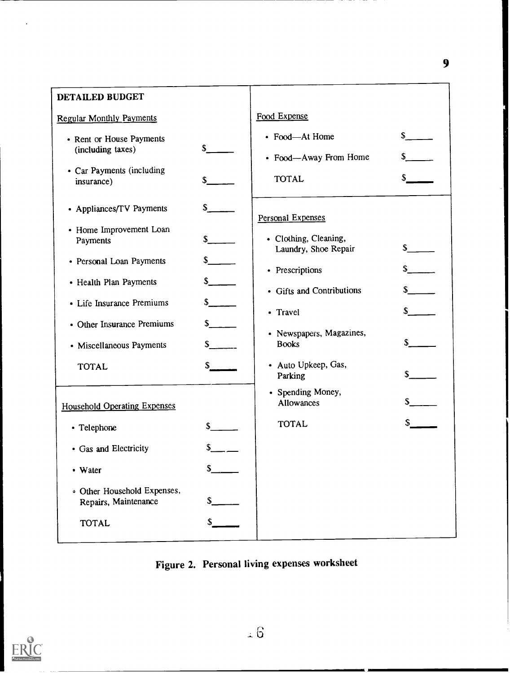| DETAILED BUDGET                                        |                               |                                               |                                     |
|--------------------------------------------------------|-------------------------------|-----------------------------------------------|-------------------------------------|
| <b>Regular Monthly Payments</b>                        |                               | Food Expense                                  |                                     |
| • Rent or House Payments<br>(including taxes)          | $s$ $\qquad$                  | • Food-At Home<br>• Food-Away From Home       | $\frac{\sqrt{2}}{2}$<br>$s$ _______ |
| • Car Payments (including<br>insurance)                | $\mathsf{S}$                  | <b>TOTAL</b>                                  |                                     |
| • Appliances/TV Payments                               | $\sim$                        | Personal Expenses                             |                                     |
| • Home Improvement Loan<br>Payments                    | s                             | • Clothing, Cleaning,<br>Laundry, Shoe Repair | $s$ $\qquad$                        |
| • Personal Loan Payments                               | s                             | • Prescriptions                               | s                                   |
| • Health Plan Payments                                 | s                             | • Gifts and Contributions                     |                                     |
| • Life Insurance Premiums                              | s                             | • Travel                                      |                                     |
| • Other Insurance Premiums<br>• Miscellaneous Payments | s<br>$\sim$                   | • Newspapers, Magazines,<br><b>Books</b>      | $s$ and $s$                         |
| <b>TOTAL</b>                                           | $\mathsf{s}$ and $\mathsf{s}$ | • Auto Upkeep, Gas,<br>Parking                |                                     |
| <b>Household Operating Expenses</b>                    |                               | • Spending Money,<br><b>Allowances</b>        | s                                   |
| • Telephone                                            |                               | <b>TOTAL</b>                                  | $s$ <sub>___</sub>                  |
| • Gas and Electricity                                  |                               |                                               |                                     |
| • Water                                                | s                             |                                               |                                     |
| • Other Household Expenses,<br>Repairs, Maintenance    | S.                            |                                               |                                     |
| <b>TOTAL</b>                                           |                               |                                               |                                     |

9

# Figure 2. Personal living expenses worksheet

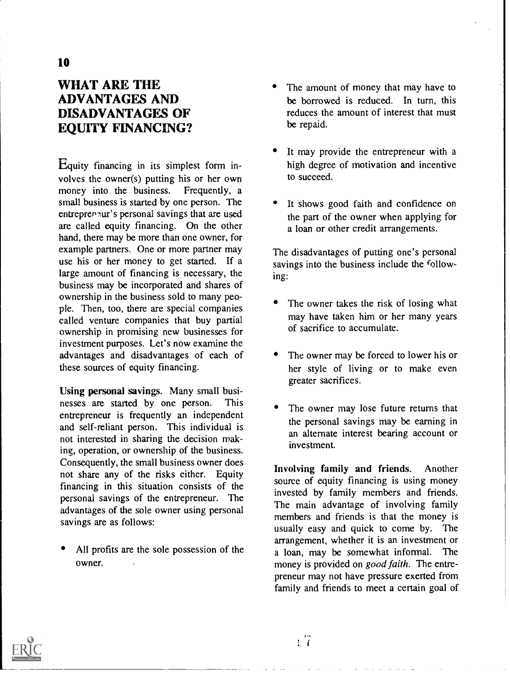### WHAT ARE THE ADVANTAGES AND DISADVANTAGES OF EQUITY FINANCING?

Equity financing in its simplest form involves the owner(s) putting his or her own money into the business. Frequently, a small business is started by one person. The entrepreneur's personal savings that are used are called equity financing. On the other hand, there may be more than one owner, for example partners. One or more partner may use his or her money to get started. If a large amount of financing is necessary, the business may be incorporated and shares of ownership in the business sold to many people. Then, too, there are special companies called venture companies that buy partial ownership in promising new businesses for investment purposes. Let's now examine the advantages and disadvantages of each of these sources of equity financing.

Using personal savings. Many small businesses are started by one person. This entrepreneur is frequently an independent and self-reliant person. This individual is not interested in sharing the decision making, operation, or ownership of the business. Consequently, the small business owner does not share any of the risks either. Equity financing in this situation consists of the personal savings of the entrepreneur. The advantages of the sole owner using personal savings are as follows:

All profits are the sole possession of the owner.

- The amount of money that may have to be borrowed is reduced. In turn, this reduces the amount of interest that must be repaid.
- It may provide the entrepreneur with a high degree of motivation and incentive to succeed.
- It shows good faith and confidence on the part of the owner when applying for a loan or other credit arrangements.

The disadvantages of putting one's personal savings into the business include the following:

- The owner takes the risk of losing what may have taken him or her many years of sacrifice to accumulate.
- The owner may be forced to lower his or her style of living or to make even greater sacrifices.
- The owner may lose future returns that the personal savings may be earning in an alternate interest bearing account or investment.

Involving family and friends. Another source of equity financing is using money invested by family members and friends. The main advantage of involving family members and friends is that the money is usually easy and quick to come by. The arrangement, whether it is an investment or a loan, may be somewhat informal. The money is provided on *good faith*. The entrepreneur may not have pressure exerted from family and friends to meet a certain goal of

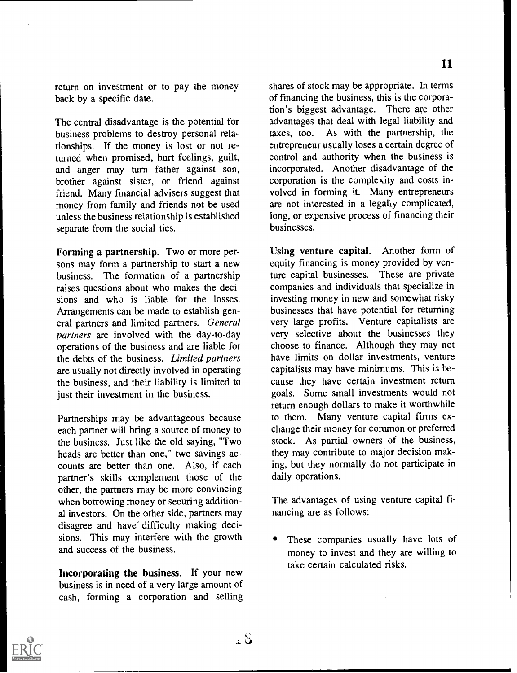return on investment or to pay the money back by a specific date.

The central disadvantage is the potential for business problems to destroy personal relationships. If the money is lost or not returned when promised, hurt feelings, guilt, and anger may turn father against son, brother against sister, or friend against friend. Many financial advisers suggest that money from family and friends not be used unless the business relationship is established separate from the social ties.

Forming a partnership. Two or more persons may form a partnership to start a new business. The formation of a partnership raises questions about who makes the decisions and who is liable for the losses. Arrangements can be made to establish general partners and limited partners. General partners are involved with the day-to-day operations of the business and are liable for the debts of the business. Limited partners are usually not directly involved in operating the business, and their liability is limited to just their investment in the business.

Partnerships may be advantageous because each partner will bring a source of money to the business. Just like the old saying, "Two heads are better than one," two savings accounts are better than one. Also, if each partner's skills complement those of the other, the partners may be more convincing when borrowing money or securing additional investors. On the other side, partners may disagree and have difficulty making decisions. This may interfere with the growth and success of the business.

Incorporating the business. If your new business is in need of a very large amount of cash, forming a corporation and selling shares of stock may be appropriate. In terms of financing the business, this is the corporation's biggest advantage. There are other advantages that deal with legal liability and taxes, too. As with the partnership, the entrepreneur usually loses a certain degree of control and authority when the business is incorporated. Another disadvantage of the corporation is the complexity and costs involved in forming it. Many entrepreneurs are not interested in a legally complicated, long, or expensive process of financing their businesses.

Using venture capital. Another form of equity financing is money provided by venture capital businesses. These are private companies and individuals that specialize in investing money in new and somewhat risky businesses that have potential for returning very large profits. Venture capitalists are very selective about the businesses they choose to finance. Although they may not have limits on dollar investments, venture capitalists may have minimums. This is because they have certain investment return goals. Some small investments would not return enough dollars to make it worthwhile to them. Many venture capital firms exchange their money for common or preferred stock. As partial owners of the business, they may contribute to major decision making, but they normally do not participate in daily operations.

The advantages of using venture capital financing are as follows:

These companies usually have lots of money to invest and they are willing to take certain calculated risks.

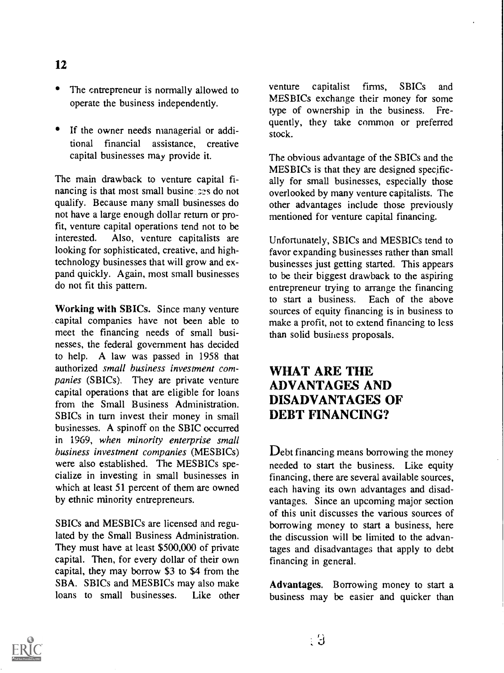- The entrepreneur is normally allowed to venture operate the business independently.
- If the owner needs managerial or additional financial assistance, creative capital businesses may provide it.

The main drawback to venture capital financing is that most small busine ses do not qualify. Because many small businesses do not have a large enough dollar return or profit, venture capital operations tend not to be Also, venture capitalists are looking for sophisticated, creative, and hightechnology businesses that will grow and expand quickly. Again, most small businesses do not fit this pattern.

Working with SBICs. Since many venture capital companies have not been able to meet the financing needs of small businesses, the federal government has decided to help. A law was passed in 1958 that authorized small business investment companies (SBICs). They are private venture capital operations that are eligible for loans from the Small Business Administration. SBICs in turn invest their money in small businesses. A spinoff on the SBIC occurred in 1969, when minority enterprise small business investment companies (MESBICs) were also established. The MESBICs specialize in investing in small businesses in which at least 51 percent of them are owned by ethnic minority entrepreneurs.

SBICs and MESBICs are licensed and regulated by the Small Business Administration. They must have at least \$500,000 of private capital. Then, for every dollar of their own capital, they may borrow \$3 to \$4 from the SBA. SBICs and MESBICs may also make loans to small businesses. Like other

capitalist firms, SBICs and MESBICs exchange their money for some type of ownership in the business. Frequently, they take common or preferred stock.

The obvious advantage of the SBICs and the MESBICs is that they are designed specifically for small businesses, especially those overlooked by many venture capitalists. The other advantages include those previously mentioned for venture capital financing.

Unfortunately, SBICs and MESBICs tend to favor expanding businesses rather than small businesses just getting started. This appears to be their biggest drawback to the aspiring entrepreneur trying to arrange the financing<br>to start a business. Each of the above to start a business. sources of equity financing is in business to make a profit, not to extend financing to less than solid business proposals.

#### WHAT ARE THE ADVANTAGES AND DISADVANTAGES OF DEBT FINANCING?

Debt financing means borrowing the money needed to start the business. Like equity financing, there are several available sources, each having its own advantages and disadvantages. Since an upcoming major section of this unit discusses the various sources of borrowing money to start a business, here the discussion will be limited to the advantages and disadvantages that apply to debt financing in general.

Advantages. Borrowing money to start a business may be easier and quicker than



#### 12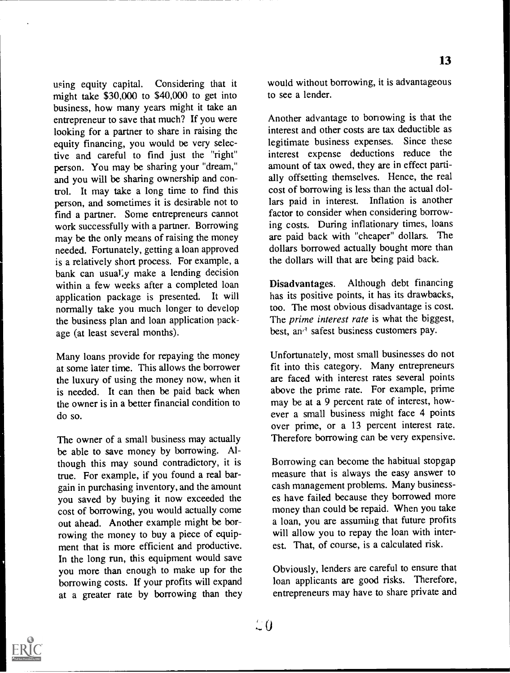using equity capital. Considering that it might take \$30,000 to \$40,000 to get into business, how many years might it take an entrepreneur to save that much? If you were looking for a partner to share in raising the equity financing, you would be very selective and careful to find just the "right" person. You may be sharing your "dream," and you will be sharing ownership and control. It may take a long time to find this person, and sometimes it is desirable not to find a partner. Some entrepreneurs cannot work successfully with a partner. Borrowing may be the only means of raising the money needed. Fortunately, getting a loan approved is a relatively short process. For example, a bank can usually make a lending decision<br>within a few weeks after a completed loan **Disadvantages.** within a few weeks after a completed loan application package is presented. It will normally take you much longer to develop the business plan and loan application package (at least several months).

Many loans provide for repaying the money at some later time. This allows the borrower the luxury of using the money now, when it is needed. It can then be paid back when the owner is in a better financial condition to do so.

The owner of a small business may actually be able to save money by borrowing. Although this may sound contradictory, it is true. For example, if you found a real bargain in purchasing inventory, and the amount you saved by buying it now exceeded the cost of borrowing, you would actually come out ahead. Another example might be borrowing the money to buy a piece of equipment that is more efficient and productive. In the long run, this equipment would save you more than enough to make up for the borrowing costs. If your profits will expand at a greater rate by borrowing than they would without borrowing, it is advantageous to see a lender.

Another advantage to borrowing is that the interest and other costs are tax deductible as legitimate business expenses. Since these interest expense deductions reduce the amount of tax owed, they are in effect partially offsetting themselves. Hence, the real cost of borrowing is less than the actual dollars paid in interest. Inflation is another factor to consider when considering borrowing costs. During inflationary times, loans are paid back with "cheaper" dollars. The dollars borrowed actually bought more than the dollars will that are being paid back.

Although debt financing has its positive points, it has its drawbacks, too. The most obvious disadvantage is cost. The *prime interest rate* is what the biggest, best, an<sup>1</sup> safest business customers pay.

Unfortunately, most small businesses do not fit into this category. Many entrepreneurs are faced with interest rates several points above the prime rate. For example, prime may be at a 9 percent rate of interest, however a small business might face 4 points over prime, or a 13 percent interest rate. Therefore borrowing can be very expensive.

Borrowing can become the habitual stopgap measure that is always the easy answer to cash management problems. Many businesses have failed because they borrowed more money than could be repaid. When you take a loan, you are assumiug that future profits will allow you to repay the loan with interest. That, of course, is a calculated risk.

Obviously, lenders are careful to ensure that loan applicants are good risks. Therefore, entrepreneurs may have to share private and

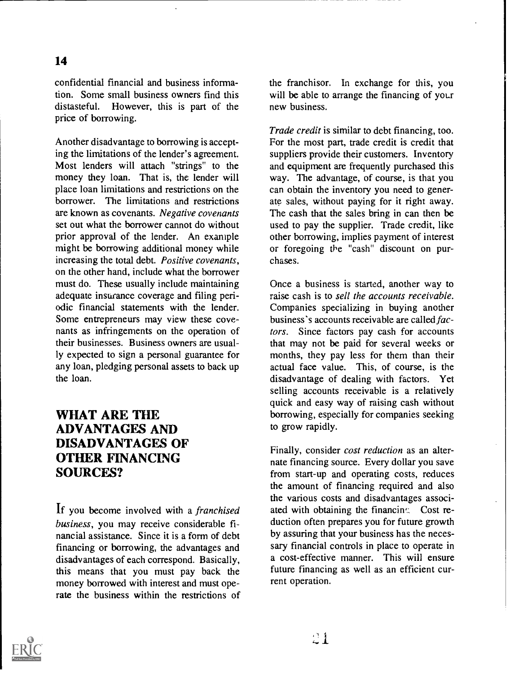#### 14

confidential financial and business information. Some small business owners find this distasteful. However, this is part of the price of borrowing.

Another disadvantage to borrowing is accepting the limitations of the lender's agreement. Most lenders will attach "strings" to the money they loan. That is, the lender will place loan limitations and restrictions on the borrower. The limitations and restrictions are known as covenants. Negative covenants set out what the borrower cannot do without prior approval of the lender. An example might be borrowing additional money while increasing the total debt. Positive covenants, on the other hand, include what the borrower must do. These usually include maintaining adequate insurance coverage and filing periodic financial statements with the lender. Some entrepreneurs may view these covenants as infringements on the operation of their businesses. Business owners are usually expected to sign a personal guarantee for any loan, pledging personal assets to back up the loan.

#### WHAT ARE THE ADVANTAGES AND DISADVANTAGES OF OTHER FINANCING SOURCES?

If you become involved with a franchised business, you may receive considerable financial assistance. Since it is a form of debt financing or borrowing, the advantages and disadvantages of each correspond. Basically, this means that you must pay back the money borrowed with interest and must operate the business within the restrictions of the franchisor. In exchange for this, you will be able to arrange the financing of your new business.

Trade credit is similar to debt financing, too. For the most part, trade credit is credit that suppliers provide their customers. Inventory and equipment are frequently purchased this way. The advantage, of course, is that you can obtain the inventory you need to generate sales, without paying for it right away. The cash that the sales bring in can then be used to pay the supplier. Trade credit, like other borrowing, implies payment of interest or foregoing the "cash" discount on purchases.

Once a business is started, another way to raise cash is to sell the accounts receivable. Companies specializing in buying another business's accounts receivable are called factors. Since factors pay cash for accounts that may not be paid for several weeks or months, they pay less for them than their actual face value. This, of course, is the disadvantage of dealing with factors. Yet selling accounts receivable is a relatively quick and easy way of raising cash without borrowing, especially for companies seeking to grow rapidly.

Finally, consider cost reduction as an alternate financing source. Every dollar you save from start-up and operating costs, reduces the amount of financing required and also the various costs and disadvantages associated with obtaining the financin $\infty$  Cost reduction often prepares you for future growth by assuring that your business has the necessary financial controls in place to operate in a cost-effective manner. This will ensure future financing as well as an efficient current operation.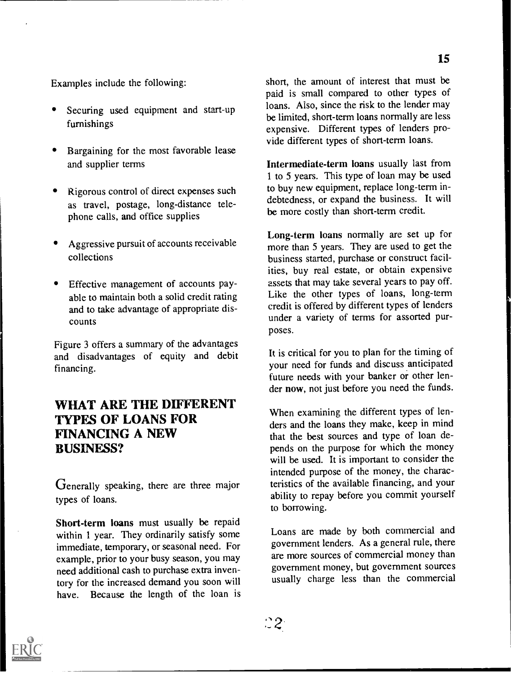Examples include the following:

- Securing used equipment and start-up furnishings
- Bargaining for the most favorable lease and supplier terms
- Rigorous control of direct expenses such as travel, postage, long-distance telephone calls, and office supplies
- Aggressive pursuit of accounts receivable collections
- Effective management of accounts payable to maintain both a solid credit rating and to take advantage of appropriate discounts

Figure 3 offers a summary of the advantages and disadvantages of equity and debit financing.

### WHAT ARE THE DIFFERENT TYPES OF LOANS FOR FINANCING A NEW BUSINESS?

Generally speaking, there are three major types of loans.

Short-term loans must usually be repaid within I year. They ordinarily satisfy some immediate, temporary, or seasonal need. For example, prior to your busy season, you may need additional cash to purchase extra inventory for the increased demand you soon will have. Because the length of the loan is short, the amount of interest that must be paid is small compared to other types of loans. Also, since the risk to the lender may be limited, short-term loans normally are less expensive. Different types of lenders provide different types of short-term loans.

Intermediate-term loans usually last from 1 to 5 years. This type of loan may be used to buy new equipment, replace long-term indebtedness, or expand the business. It will be more costly than short-term credit.

Long-term loans normally are set up for more than 5 years. They are used to get the business started, purchase or construct facilities, buy real estate, or obtain expensive assets that may take several years to pay off. Like the other types of loans, long-term credit is offered by different types of lenders under a variety of terms for assorted purposes.

It is critical for you to plan for the timing of your need for funds and discuss anticipated future needs with your banker or other lender now, not just before you need the funds.

When examining the different types of lenders and the loans they make, keep in mind that the best sources and type of loan depends on the purpose for which the money will be used. It is important to consider the intended purpose of the money, the characteristics of the available financing, and your ability to repay before you commit yourself to borrowing.

Loans are made by both commercial and government lenders. As a general rule, there are more sources of commercial money than government money, but government sources usually charge less than the commercial

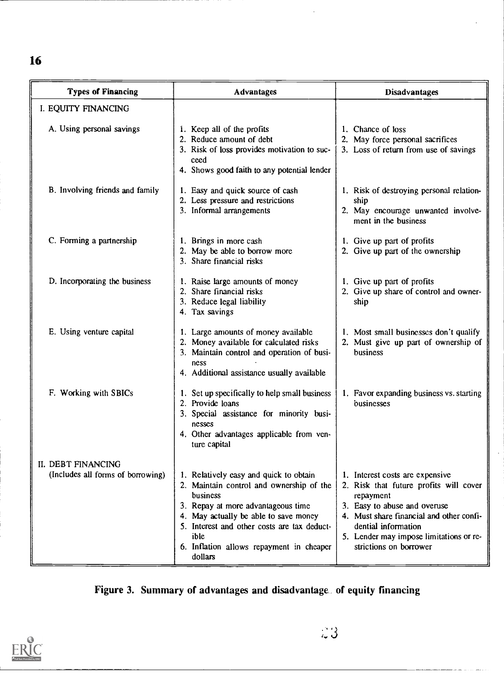16

| <b>Types of Financing</b>                               | <b>Advantages</b>                                                                                                                                                                                                                                                                           | <b>Disadvantages</b>                                                                                                                                                                                                                                           |  |
|---------------------------------------------------------|---------------------------------------------------------------------------------------------------------------------------------------------------------------------------------------------------------------------------------------------------------------------------------------------|----------------------------------------------------------------------------------------------------------------------------------------------------------------------------------------------------------------------------------------------------------------|--|
| I. EQUITY FINANCING                                     |                                                                                                                                                                                                                                                                                             |                                                                                                                                                                                                                                                                |  |
| A. Using personal savings                               | i. Keep all of the profits<br>2. Reduce amount of debt<br>3. Risk of loss provides motivation to suc-<br>ceed<br>4. Shows good faith to any potential lender                                                                                                                                | 1. Chance of loss<br>2. May force personal sacrifices<br>3. Loss of return from use of savings                                                                                                                                                                 |  |
| B. Involving friends and family                         | 1. Easy and quick source of cash<br>2. Less pressure and restrictions<br>3. Informal arrangements                                                                                                                                                                                           | 1. Risk of destroying personal relation-<br>ship<br>2. May encourage unwanted involve-<br>ment in the business                                                                                                                                                 |  |
| C. Forming a partnership                                | 1. Brings in more cash<br>2. May be able to borrow more<br>3. Share financial risks                                                                                                                                                                                                         | 1. Give up part of profits<br>2. Give up part of the ownership                                                                                                                                                                                                 |  |
| D. Incorporating the business                           | 1. Raise large amounts of money<br>2. Share financial risks<br>3. Reduce legal liability<br>4. Tax savings                                                                                                                                                                                  | 1. Give up part of profits<br>2. Give up share of control and owner-<br>ship                                                                                                                                                                                   |  |
| E. Using venture capital                                | 1. Large amounts of money available<br>2. Money available for calculated risks<br>3. Maintain control and operation of busi-<br>ness<br>4. Additional assistance usually available                                                                                                          | 1. Most small businesses don't qualify<br>2. Must give up part of ownership of<br>business                                                                                                                                                                     |  |
| F. Working with SBICs                                   | 1. Set up specifically to help small business<br>2. Provide loans<br>3. Special assistance for minority busi-<br>nesses<br>4. Other advantages applicable from ven-<br>ture capital                                                                                                         | 1. Favor expanding business vs. starting<br>businesses                                                                                                                                                                                                         |  |
| II. DEBT FINANCING<br>(Includes all forms of borrowing) | 1. Relatively easy and quick to obtain<br>2. Maintain control and ownership of the<br>business<br>3. Repay at more advantageous time<br>4. May actually be able to save money<br>5. Interest and other costs are tax deduct-<br>ible<br>6. Inflation allows repayment in cheaper<br>dollars | 1. Interest costs are expensive<br>2. Risk that future profits will cover<br>repayment<br>3. Easy to abuse and overuse<br>4. Must share financial and other confi-<br>dential information<br>5. Lender may impose limitations or re-<br>strictions on borrower |  |

Figure 3. Summary of advantages and disadvantage. of equity financing

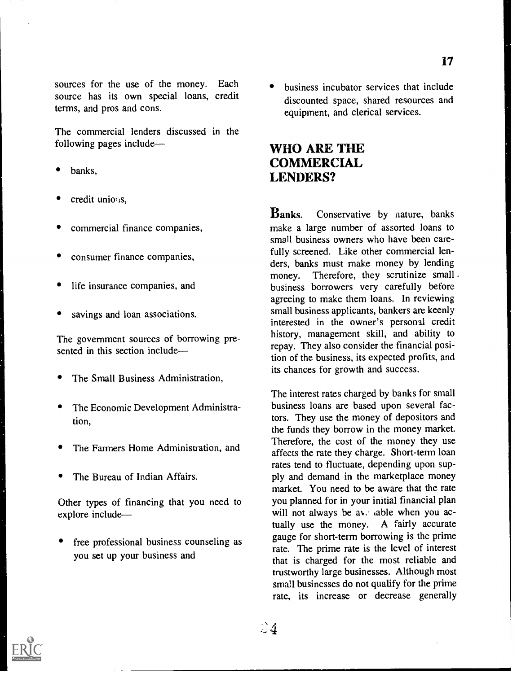sources for the use of the money. Each source has its own special loans, credit terms, and pros and cons.

The commercial lenders discussed in the following pages include

- banks,
- credit unions,
- commercial finance companies,
- consumer finance companies,
- life insurance companies, and
- savings and loan associations.

The government sources of borrowing presented in this section include-

- The Small Business Administration,
- The Economic Development Administration,
- The Farmers Home Administration, and
- The Bureau of Indian Affairs.

Other types of financing that you need to explore include

free professional business counseling as you set up your business and

business incubator services that include discounted space, shared resources and equipment, and clerical services.

#### WHO ARE THE COMMERCIAL LENDERS?

**Banks.** Conservative by nature, banks make a large number of assorted loans to small business owners who have been carefully screened. Like other commercial lenders, banks must make money by lending money. Therefore, they scrutinize small. business borrowers very carefully before agreeing to make them loans. In reviewing small business applicants, bankers are keenly interested in the owner's personal credit history, management skill, and ability to repay. They also consider the financial position of the business, its expected profits, and its chances for growth and success.

The interest rates charged by banks for small business loans are based upon several factors. They use the money of depositors and the funds they borrow in the money market. Therefore, the cost of the money they use affects the rate they charge. Short-term loan rates tend to fluctuate, depending upon supply and demand in the marketplace money market. You need to be aware that the rate you planned for in your initial financial plan will not always be  $av$ . able when you actually use the money. A fairly accurate gauge for short-term borrowing is the prime rate. The prime rate is the level of interest that is charged for the most reliable and trustworthy large businesses. Although most small businesses do not qualify for the prime rate, its increase or decrease generally

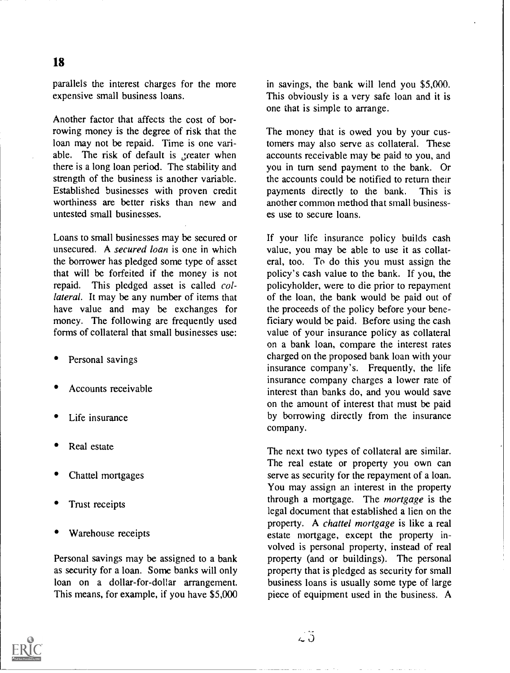parallels the interest charges for the more expensive small business loans.

Another factor that affects the cost of borrowing money is the degree of risk that the loan may not be repaid. Time is one variable. The risk of default is greater when there is a long loan period. The stability and strength of the business is another variable. Established businesses with proven credit worthiness are better risks than new and untested small businesses.

Loans to small businesses may be secured or unsecured. A secured loan is one in which the borrower has pledged some type of asset that will be forfeited if the money is not repaid. This pledged asset is called *col*lateral. It may be any number of items that have value and may be exchanges for money. The following are frequently used forms of collateral that small businesses use:

- Personal savings
- Accounts receivable
- Life insurance
- Real estate
- Chattel mortgages
- Trust receipts
- Warehouse receipts

Personal savings may be assigned to a bank as security for a loan. Some banks will only loan on a dollar-for-dollar arrangement. This means, for example, if you have \$5,000

in savings, the bank will lend you \$5,000. This obviously is a very safe loan and it is one that is simple to arrange.

The money that is owed you by your customers may also serve as collateral. These accounts receivable may be paid to you, and you in turn send payment to the bank. Or the accounts could be notified to return their payments directly to the bank. This is another common method that small businesses use to secure loans.

If your life insurance policy builds cash value, you may be able to use it as collateral, too. To do this you must assign the policy's cash value to the bank. If you, the policyholder, were to die prior to repayment of the loan, the bank would be paid out of the proceeds of the policy before your beneficiary would be paid. Before using the cash value of your insurance policy as collateral on a bank loan, compare the interest rates charged on the proposed bank loan with your insurance company's. Frequently, the life insurance company charges a lower rate of interest than banks do, and you would save on the amount of interest that must be paid by borrowing directly from the insurance company.

The next two types of collateral are similar. The real estate or property you own can serve as security for the repayment of a loan. You may assign an interest in the property through a mortgage. The mortgage is the legal document that established a lien on the property. A chattel mortgage is like a real estate mortgage, except the property involved is personal property, instead of real property (and or buildings). The personal property that is pledged as security for small business loans is usually some type of large piece of equipment used in the business. A

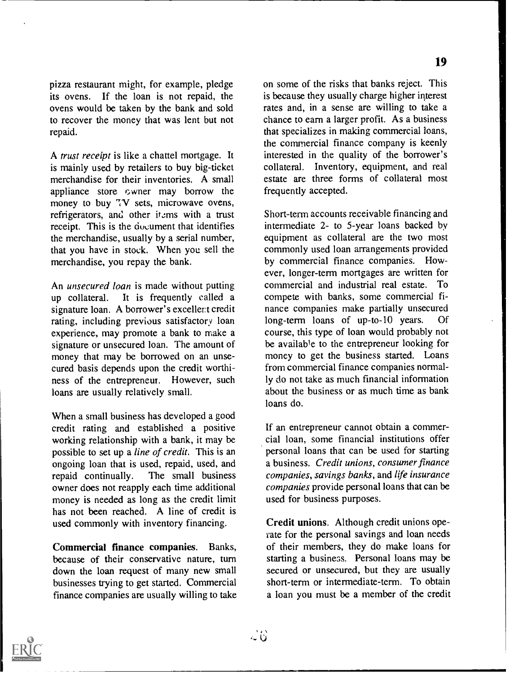pizza restaurant might, for example, pledge its ovens. If the loan is not repaid, the ovens would be taken by the bank and sold to recover the money that was lent but not repaid.

A trust receipt is like a chattel mortgage. It is mainly used by retailers to buy big-ticket merchandise for their inventories. A small appliance store owner may borrow the money to buy ". V sets, microwave ovens, refrigerators, and other items with a trust receipt. This is the document that identifies the merchandise, usually by a serial number, that you have in stock. When you sell the merchandise, you repay the bank.

An *unsecured loan* is made without putting up collateral. It is frequently called a signature loan. A borrower's excellent credit rating, including previous satisfactory loan experience, may promote a bank to make a signature or unsecured loan. The amount of money that may be borrowed on an unsecured basis depends upon the credit worthiness of the entrepreneur. However, such loans are usually relatively small.

When a small business has developed a good credit rating and established a positive working relationship with a bank, it may be possible to set up a line of credit. This is an ongoing loan that is used, repaid, used, and<br>repaid continually. The small business The small business owner does not reapply each time additional money is needed as long as the credit limit has not been reached. A line of credit is used commonly with inventory financing.

Commercial finance companies. Banks, because of their conservative nature, turn down the loan request of many new small businesses trying to get started. Commercial finance companies are usually willing to take on some of the risks that banks reject. This is because they usually charge higher interest rates and, in a sense are willing to take a chance to earn a larger profit. As a business that specializes in making commercial loans, the commercial finance company is keenly interested in the quality of the borrower's collateral. Inventory, equipment, and real estate are three forms of collateral most frequently accepted.

Short-term accounts receivable financing and intermediate 2- to 5-year loans backed by equipment as collateral are the two most commonly used loan arrangements provided by commercial finance companies. However, longer-term mortgages are written for commercial and industrial real estate. To compete with banks, some commercial finance companies make partially unsecured<br>long-term loans of un-to-10 years. Of long-term loans of  $up-to-10$  years. course, this type of loan would probably not be available to the entrepreneur looking for money to get the business started. Loans from commercial finance companies normally do not take as much financial information about the business or as much time as bank loans do.

If an entrepreneur cannot obtain a commercial loan, some financial institutions offer personal loans that can be used for starting a business. Credit unions, consumer finance companies, savings banks, and life insurance companies provide personal loans that can be used for business purposes.

Credit unions. Although credit unions operate for the personal savings and loan needs of their members, they do make loans for starting a business. Personal loans may be secured or unsecured, but they are usually short-term or intermediate-term. To obtain a loan you must be a member of the credit

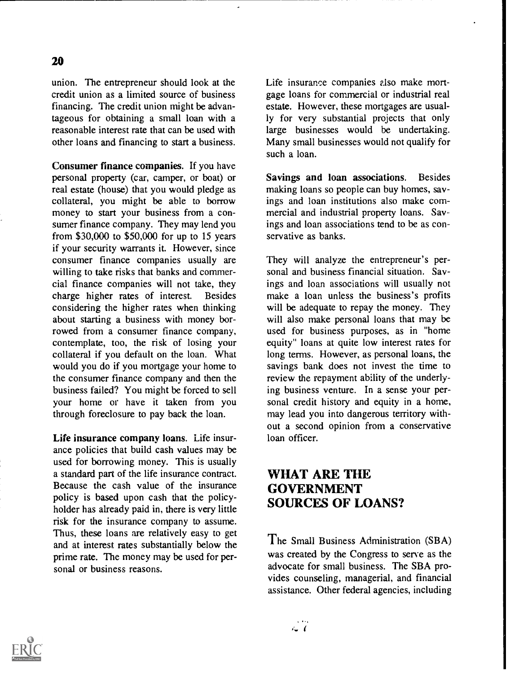union. The entrepreneur should look at the credit union as a limited source of business financing. The credit union might be advantageous for obtaining a small loan with a reasonable interest rate that can be used with other loans and financing to start a business.

Consumer finance companies. If you have personal property (car, camper, or boat) or real estate (house) that you would pledge as collateral, you might be able to borrow money to start your business from a consumer finance company. They may lend you from \$30,000 to \$50,000 for up to 15 years if your security warrants it. However, since consumer finance companies usually are willing to take risks that banks and commercial finance companies will not take, they charge higher rates of interest. Besides considering the higher rates when thinking about starting a business with money borrowed from a consumer finance company, contemplate, too, the risk of losing your collateral if you default on the loan. What would you do if you mortgage your home to the consumer finance company and then the business failed? You might be forced to sell your home or have it taken from you through foreclosure to pay back the loan.

Life insurance company loans. Life insurance policies that build cash values may be used for borrowing money. This is usually a standard part of the life insurance contract. Because the cash value of the insurance policy is based upon cash that the policyholder has already paid in, there is very little risk for the insurance company to assume. Thus, these loans are relatively easy to get and at interest rates substantially below the prime rate. The money may be used for personal or business reasons.

Life insurance companies also make mortgage loans for commercial or industrial real estate. However, these mortgages are usually for very substantial projects that only large businesses would be undertaking. Many small businesses would not qualify for such a loan.

Savings and loan associations. Besides making loans so people can buy homes, savings and loan institutions also make commercial and industrial property loans. Savings and loan associations tend to be as conservative as banks.

They will analyze the entrepreneur's personal and business financial situation. Savings and loan associations will usually not make a loan unless the business's profits will be adequate to repay the money. They will also make personal loans that may be used for business purposes, as in "home equity" loans at quite low interest rates for long terms. However, as personal loans, the savings bank does not invest the time to review the repayment ability of the underlying business venture. In a sense your personal credit history and equity in a home, may lead you into dangerous territory without a second opinion from a conservative loan officer.

#### WHAT ARE THE GOVERNMENT SOURCES OF LOANS?

The Small Business Administration (SBA) was created by the Congress to serve as the advocate for small business. The SBA provides counseling, managerial, and financial assistance. Other federal agencies, including

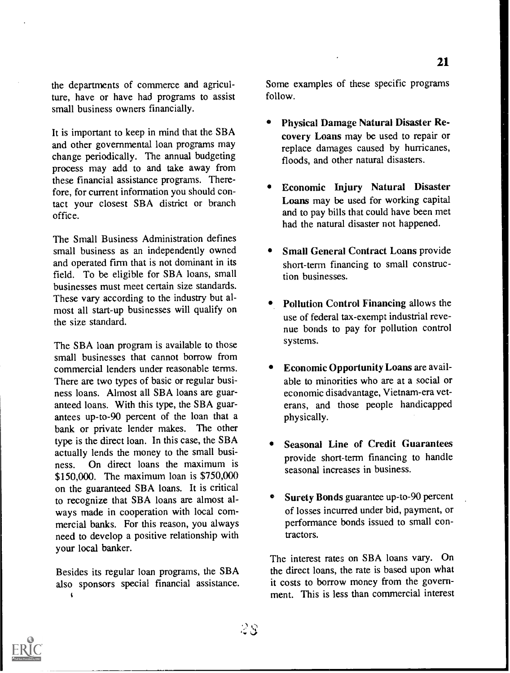the departments of commerce and agriculture, have or have had programs to assist small business owners financially.

It is important to keep in mind that the SBA and other governmental loan programs may change periodically. The annual budgeting process may add to and take away from these financial assistance programs. Therefore, for current information you should contact your closest SBA district or branch office.

The Small Business Administration defines small business as an independently owned and operated firm that is not dominant in its field. To be eligible for SBA loans, small businesses must meet certain size standards. These vary according to the industry but almost all start-up businesses will qualify on the size standard.

The SBA loan program is available to those small businesses that cannot borrow from commercial lenders under reasonable terms. There are two types of basic or regular business loans. Almost all SBA loans are guaranteed loans. With this type, the SBA guarantees up-to-90 percent of the loan that a bank or private lender makes. The other type is the direct loan. In this case, the SBA actually lends the money to the small business. On direct loans the maximum is \$150,000. The maximum loan is \$750,000 on the guaranteed SBA loans. It is critical to recognize that SBA loans are almost always made in cooperation with local commercial banks. For this reason, you always need to develop a positive relationship with your local banker.

Besides its regular loan programs, the SBA also sponsors special financial assistance. i

Some examples of these specific programs follow.

- Physical Damage Natural Disaster Recovery Loans may be used to repair or replace damages caused by hurricanes, floods, and other natural disasters.
- Economic Injury Natural Disaster Loans may be used for working capital and to pay bills that could have been met had the natural disaster not happened.
- Small General Contract Loans provide short-term financing to small construction businesses.
- Pollution Control Financing allows the use of federal tax-exempt industrial revenue bonds to pay for pollution control systems.
- Economic Opportunity Loans are available to minorities who are at a social or economic disadvantage, Vietnam-era veterans, and those people handicapped physically.
- Seasonal Line of Credit Guarantees provide short-term financing to handle seasonal increases in business.
- Surety Bonds guarantee up-to-90 percent of losses incurred under bid, payment, or performance bonds issued to small contractors.

The interest rates on SBA loans vary. On the direct loans, the rate is based upon what it costs to borrow money from the government. This is less than commercial interest

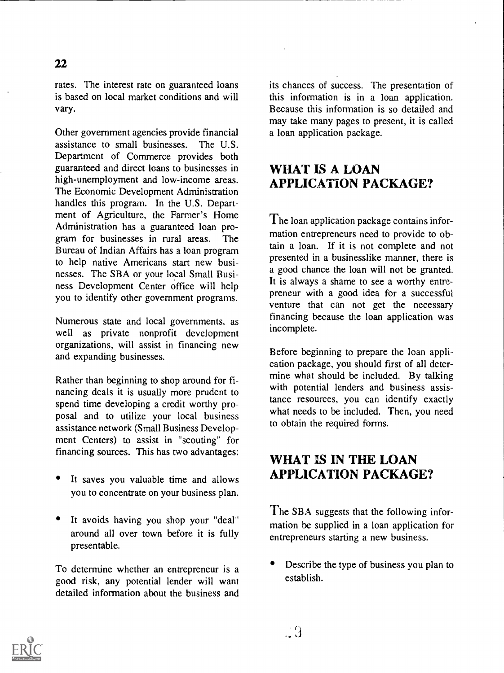rates. The interest rate on guaranteed loans is based on local market conditions and will vary.

Other government agencies provide financial assistance to small businesses. The U.S. Department of Commerce provides both guaranteed and direct loans to businesses in high-unemployment and low-income areas. The Economic Development Administration handles this program. In the U.S. Department of Agriculture, the Farmer's Home Administration has a guaranteed loan program for businesses in rural areas. The Bureau of Indian Affairs has a loan program to help native Americans start new businesses. The SBA or your local Small Business Development Center office will help you to identify other government programs.

Numerous state and local governments, as well as private nonprofit development organizations, will assist in financing new and expanding businesses.

Rather than beginning to shop around for financing deals it is usually more prudent to spend time developing a credit worthy proposal and to utilize your local business assistance network (Small Business Development Centers) to assist in "scouting" for financing sources. This has two advantages:

- It saves you valuable time and allows you to concentrate on your business plan.
- It avoids having you shop your "deal" around all over town before it is fully presentable.

To determine whether an entrepreneur is a good risk, any potential lender will want detailed information about the business and its chances of success. The presentation of this information is in a loan application. Because this information is so detailed and may take many pages to present, it is called a loan application package.

### WHAT IS A LOAN APPLICATION PACKAGE?

The loan application package contains information entrepreneurs need to provide to obtain a loan. If it is not complete and not presented in a businesslike manner, there is a good chance the loan will not be granted. It is always a shame to see a worthy entrepreneur with a good idea for a successful venture that can not get the necessary financing because the loan application was incomplete.

Before beginning to prepare the loan application package, you should first of all determine what should be included. By talking with potential lenders and business assistance resources, you can identify exactly what needs to be included. Then, you need to obtain the required forms.

#### WHAT IS IN THE LOAN APPLICATION PACKAGE?

The SBA suggests that the following information be supplied in a loan application for entrepreneurs starting a new business.

Describe the type of business you plan to establish.

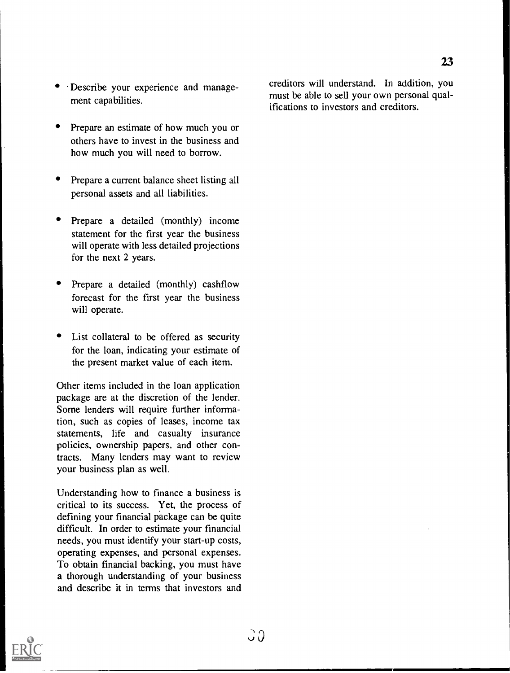- Describe your experience and management capabilities.
- Prepare an estimate of how much you or others have to invest in the business and how much you will need to borrow.
- Prepare a current balance sheet listing all personal assets and all liabilities.
- Prepare a detailed (monthly) income statement for the first year the business will operate with less detailed projections for the next 2 years.
- Prepare a detailed (monthly) cashflow forecast for the first year the business will operate.
- List collateral to be offered as security for the loan, indicating your estimate of the present market value of each item.

Other items included in the loan application package are at the discretion of the lender. Some lenders will require further information, such as copies of leases, income tax statements, life and casualty insurance policies, ownership papers, and other contracts. Many lenders may want to review your business plan as well.

Understanding how to finance a business is critical to its success. Yet, the process of defining your financial package can be quite difficult. In order to estimate your financial needs, you must identify your start-up costs, operating expenses, and personal expenses. To obtain financial backing, you must have a thorough understanding of your business and describe it in terms that investors and creditors will understand. In addition, you must be able to sell your own personal qualifications to investors and creditors.

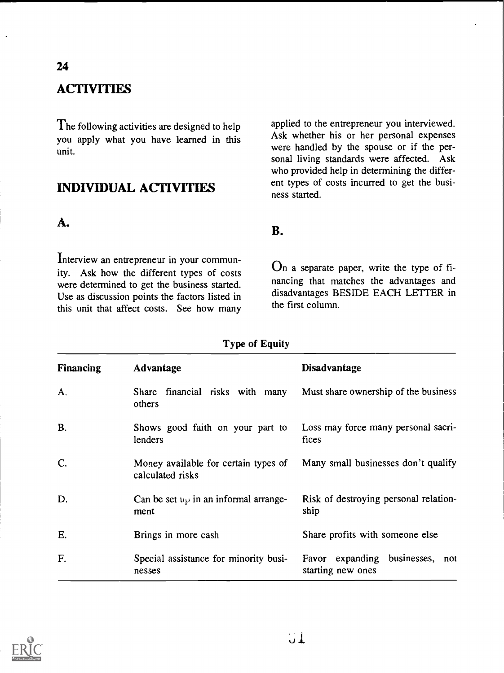## **ACTIVITIES**

The following activities are designed to help you apply what you have learned in this unit.

### INDIVIDUAL ACTIVITIES

applied to the entrepreneur you interviewed. Ask whether his or her personal expenses were handled by the spouse or if the personal living standards were affected. Ask who provided help in determining the different types of costs incurred to get the business started.

#### A.

Interview an entrepreneur in your community. Ask how the different types of costs were determined to get the business started. Use as discussion points the factors listed in this unit that affect costs. See how many

On a separate paper, write the type of financing that matches the advantages and disadvantages BESIDE EACH LETTER in the first column.

| <b>Financing</b> | <b>Advantage</b>                                         | <b>Disadvantage</b>                                     |  |
|------------------|----------------------------------------------------------|---------------------------------------------------------|--|
| A.               | Share financial risks with many<br>others                | Must share ownership of the business                    |  |
| <b>B.</b>        | Shows good faith on your part to<br>lenders              | Loss may force many personal sacri-<br>fices            |  |
| C.               | Money available for certain types of<br>calculated risks | Many small businesses don't qualify                     |  |
| D.               | Can be set $u_{1}$ in an informal arrange-<br>ment       | Risk of destroying personal relation-<br>ship           |  |
| Ε.               | Brings in more cash                                      | Share profits with someone else                         |  |
| F.               | Special assistance for minority busi-<br>nesses          | businesses, not<br>Favor expanding<br>starting new ones |  |

#### Type of Equity

B.

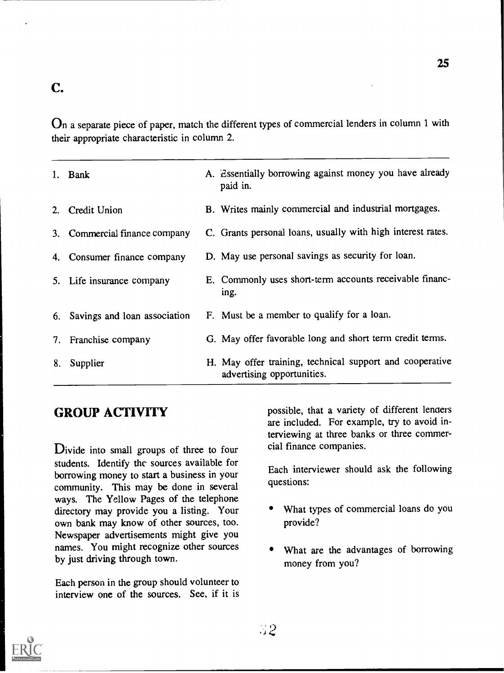On a separate piece of paper, match the different types of commercial lenders in column 1 with their appropriate characteristic in column 2.

|    | 1. Bank                         | A. Essentially borrowing against money you have already<br>paid in.                    |
|----|---------------------------------|----------------------------------------------------------------------------------------|
|    | 2. Credit Union                 | B. Writes mainly commercial and industrial mortgages.                                  |
|    | 3. Commercial finance company   | C. Grants personal loans, usually with high interest rates.                            |
|    | 4. Consumer finance company     | D. May use personal savings as security for loan.                                      |
|    | 5. Life insurance company       | E. Commonly uses short-term accounts receivable financ-<br>ing.                        |
|    | 6. Savings and loan association | F. Must be a member to qualify for a loan.                                             |
|    | 7. Franchise company            | G. May offer favorable long and short term credit terms.                               |
| 8. | Supplier                        | H. May offer training, technical support and cooperative<br>advertising opportunities. |

### GROUP ACTIVITY

Divide into small groups of three to four students. Identify the sources available for borrowing money to start a business in your community. This may be done in several ways. The Yellow Pages of the telephone directory may provide you a listing. Your own bank may know of other sources, too. Newspaper advertisements might give you names. You might recognize other sources by just driving through town.

Each person in the group should volunteer to interview one of the sources. See, if it is possible, that a variety of different lenders are included. For example, try to avoid interviewing at three banks or three commercial finance companies.

Each interviewer should ask the following questions:

- What types of commercial loans do you provide?
- What are the advantages of borrowing money from you?

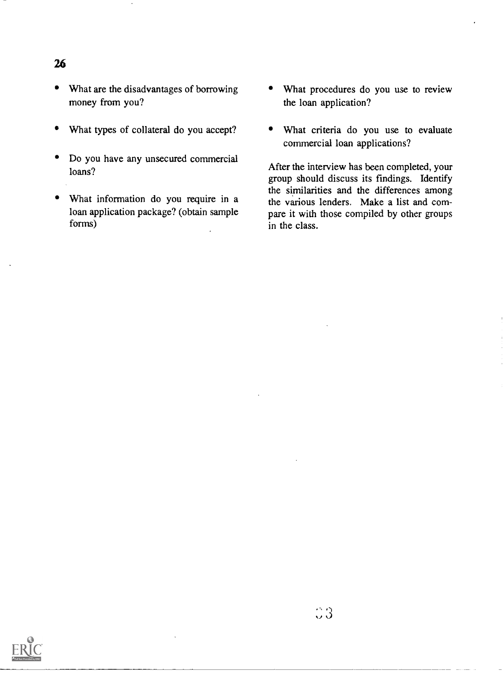- What are the disadvantages of borrowing money from you?
- What types of collateral do you accept? ٠
- Do you have any unsecured commercial loans?
- What information do you require in a loan application package? (obtain sample forms)
- What procedures do you use to review the loan application?
- What criteria do you use to evaluate commercial loan applications?

After the interview has been completed, your group should discuss its findings. Identify the similarities and the differences among the various lenders. Make a list and compare it with those compiled by other groups in the class.

 $3<sup>o</sup>$ 

#### 26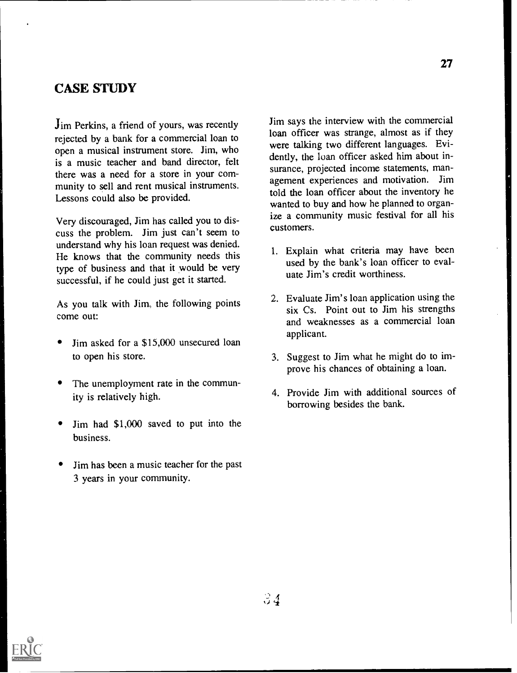#### CASE STUDY

Jim Perkins, a friend of yours, was recently rejected by a bank for a commercial loan to open a musical instrument store. Jim, who is a music teacher and band director, felt there was a need for a store in your community to sell and rent musical instruments. Lessons could also be provided.

Very discouraged, Jim has called you to discuss the problem. Jim just can't seem to understand why his loan request was denied. He knows that the community needs this type of business and that it would be very successful, if he could just get it started.

As you talk with Jim, the following points come out:

- Jim asked for a \$15,000 unsecured loan to open his store.
- The unemployment rate in the community is relatively high.
- Jim had \$1,000 saved to put into the business.
- Jim has been a music teacher for the past 3 years in your community.

Jim says the interview with the commercial loan officer was strange, almost as if they were talking two different languages. Evidently, the loan officer asked him about insurance, projected income statements, management experiences and motivation. Jim told the loan officer about the inventory he wanted to buy and how he planned to organize a community music festival for all his customers.

- 1. Explain what criteria may have been used by the bank's loan officer to evaluate Jim's credit worthiness.
- 2. Evaluate Jim's loan application using the six Cs. Point out to Jim his strengths and weaknesses as a commercial loan applicant.
- 3. Suggest to Jim what he might do to improve his chances of obtaining a loan.
- 4. Provide Jim with additional sources of borrowing besides the bank.

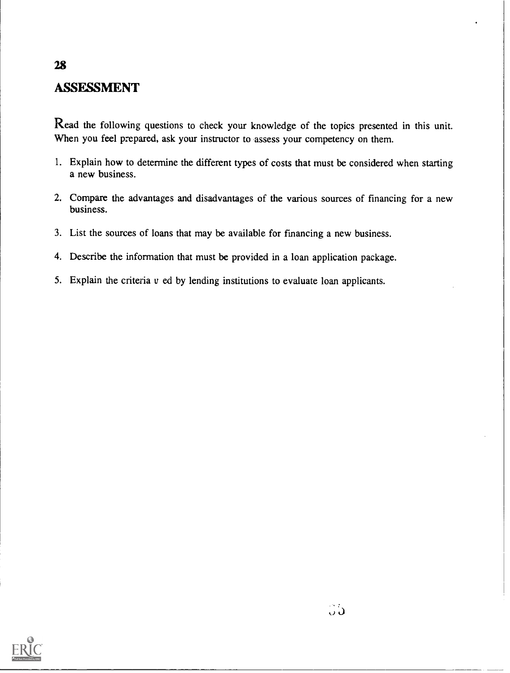### ASSESSMENT

Read the following questions to check your knowledge of the topics presented in this unit. When you feel prepared, ask your instructor to assess your competency on them.

- 1. Explain how to determine the different types of costs that must be considered when starting a new business.
- 2. Compare the advantages and disadvantages of the various sources of financing for a new business.
- 3. List the sources of loans that may be available for financing a new business.
- 4. Describe the information that must be provided in a loan application package.
- 5. Explain the criteria u ed by lending institutions to evaluate loan applicants.



28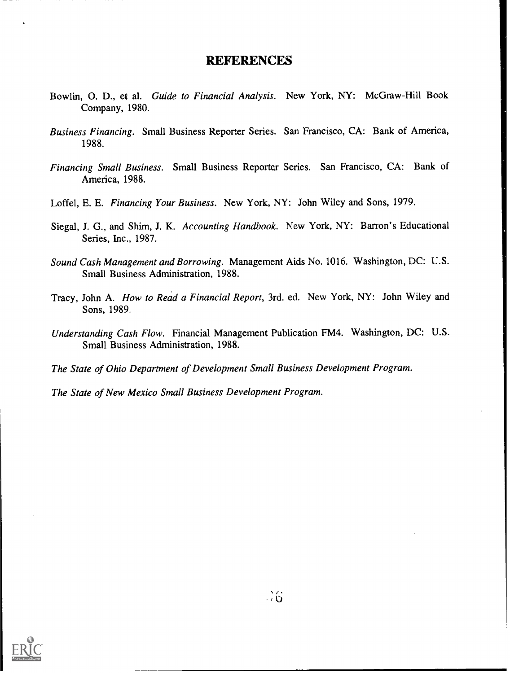#### REFERENCES

- Bowlin, O. D., et al. Guide to Financial Analysis. New York, NY: McGraw-Hill Book Company, 1980.
- Business Financing. Small Business Reporter Series. San Francisco, CA: Bank of America, 1988.
- Financing Small Business. Small Business Reporter Series. San Francisco, CA: Bank of America, 1988.
- Loffel, E. E. Financing Your Business. New York, NY: John Wiley and Sons, 1979.
- Siegal, J. G., and Shim, J. K. Accounting Handbook. New York, NY: Barron's Educational Series, Inc., 1987.
- Sound Cash Management and Borrowing. Management Aids No. 1016. Washington, DC: U.S. Small Business Administration, 1988.
- Tracy, John A. How to Read a Financial Report, 3rd. ed. New York, NY: John Wiley and Sons, 1989.
- Understanding Cash Flow. Financial Management Publication FM4. Washington, DC: U.S. Small Business Administration, 1988.
- The State of Ohio Department of Development Small Business Development Program.
- The State of New Mexico Small Business Development Program.